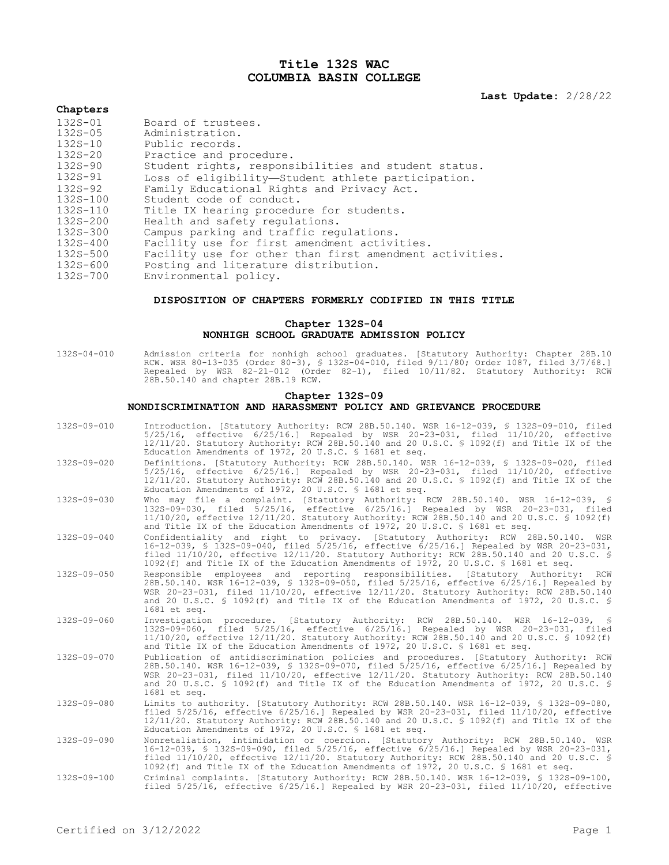# **Title 132S WAC COLUMBIA BASIN COLLEGE**

**Last Update:** 2/28/22

#### **Chapters**

| Board of trustees.                                      |
|---------------------------------------------------------|
| Administration.                                         |
| Public records.                                         |
| Practice and procedure.                                 |
| Student rights, responsibilities and student status.    |
| Loss of eligibility-Student athlete participation.      |
| Family Educational Rights and Privacy Act.              |
| Student code of conduct.                                |
| Title IX hearing procedure for students.                |
| Health and safety requiations.                          |
| Campus parking and traffic regulations.                 |
| Facility use for first amendment activities.            |
| Facility use for other than first amendment activities. |
| Posting and literature distribution.                    |
| Environmental policy.                                   |
|                                                         |

#### **DISPOSITION OF CHAPTERS FORMERLY CODIFIED IN THIS TITLE**

# **Chapter 132S-04 NONHIGH SCHOOL GRADUATE ADMISSION POLICY**

132S-04-010 Admission criteria for nonhigh school graduates. [Statutory Authority: Chapter 28B.10 RCW. WSR 80-13-035 (Order 80-3), § 132S-04-010, filed 9/11/80; Order 1087, filed 3/7/68.] Repealed by WSR 82-21-012 (Order 82-1), filed 10/11/82. Statutory Authority: RCW 28B.50.140 and chapter 28B.19 RCW.

#### **Chapter 132S-09 NONDISCRIMINATION AND HARASSMENT POLICY AND GRIEVANCE PROCEDURE**

- 132S-09-010 Introduction. [Statutory Authority: RCW 28B.50.140. WSR 16-12-039, § 132S-09-010, filed 5/25/16, effective 6/25/16.] Repealed by WSR 20-23-031, filed 11/10/20, effective 12/11/20. Statutory Authority: RCW 28B.50.140 and 20 U.S.C. § 1092(f) and Title IX of the Education Amendments of 1972, 20 U.S.C. § 1681 et seq.
- 132S-09-020 Definitions. [Statutory Authority: RCW 28B.50.140. WSR 16-12-039, § 132S-09-020, filed 5/25/16, effective 6/25/16.] Repealed by WSR 20-23-031, filed 11/10/20, effective 12/11/20. Statutory Authority: RCW 28B.50.140 and 20 U.S.C. § 1092(f) and Title IX of the Education Amendments of 1972, 20 U.S.C. § 1681 et seq.
- 132S-09-030 Who may file a complaint. [Statutory Authority: RCW 28B.50.140. WSR 16-12-039, § 132S-09-030, filed 5/25/16, effective 6/25/16.] Repealed by WSR 20-23-031, filed 11/10/20, effective 12/11/20. Statutory Authority: RCW 28B.50.140 and 20 U.S.C. § 1092(f) and Title IX of the Education Amendments of 1972, 20 U.S.C. § 1681 et seq.
- 132S-09-040 Confidentiality and right to privacy. [Statutory Authority: RCW 28B.50.140. WSR 16-12-039, § 132S-09-040, filed 5/25/16, effective 6/25/16.] Repealed by WSR 20-23-031, filed 11/10/20, effective 12/11/20. Statutory Authority: RCW 28B.50.140 and 20 U.S.C. § 1092(f) and Title IX of the Education Amendments of 1972, 20 U.S.C. § 1681 et seq.
- 132S-09-050 Responsible employees and reporting responsibilities. [Statutory Authority: RCW 28B.50.140. WSR 16-12-039, § 132S-09-050, filed 5/25/16, effective 6/25/16.] Repealed by WSR 20-23-031, filed 11/10/20, effective 12/11/20. Statutory Authority: RCW 28B.50.140 and 20 U.S.C. § 1092(f) and Title IX of the Education Amendments of 1972, 20 U.S.C. § 1681 et seq.
- 132S-09-060 Investigation procedure. [Statutory Authority: RCW 28B.50.140. WSR 16-12-039, § 132S-09-060, filed 5/25/16, effective 6/25/16.] Repealed by WSR 20-23-031, filed 11/10/20, effective 12/11/20. Statutory Authority: RCW 28B.50.140 and 20 U.S.C. § 1092(f) and Title IX of the Education Amendments of 1972, 20 U.S.C. § 1681 et seq.
- 132S-09-070 Publication of antidiscrimination policies and procedures. [Statutory Authority: RCW 28B.50.140. WSR 16-12-039, § 132S-09-070, filed 5/25/16, effective 6/25/16.] Repealed by WSR 20-23-031, filed 11/10/20, effective 12/11/20. Statutory Authority: RCW 28B.50.140 and 20 U.S.C. § 1092(f) and Title IX of the Education Amendments of 1972, 20 U.S.C. § 1681 et seq.
- 132S-09-080 Limits to authority. [Statutory Authority: RCW 28B.50.140. WSR 16-12-039, § 132S-09-080, filed 5/25/16, effective 6/25/16.] Repealed by WSR 20-23-031, filed 11/10/20, effective 12/11/20. Statutory Authority: RCW 28B.50.140 and 20 U.S.C. § 1092(f) and Title IX of the Education Amendments of 1972, 20 U.S.C. § 1681 et seq.

132S-09-090 Nonretaliation, intimidation or coercion. [Statutory Authority: RCW 28B.50.140. WSR 16-12-039, § 132S-09-090, filed 5/25/16, effective 6/25/16.] Repealed by WSR 20-23-031, filed 11/10/20, effective 12/11/20. Statutory Authority: RCW 28B.50.140 and 20 U.S.C. § 1092(f) and Title IX of the Education Amendments of 1972, 20 U.S.C. § 1681 et seq.

132S-09-100 Criminal complaints. [Statutory Authority: RCW 28B.50.140. WSR 16-12-039, § 132S-09-100, filed 5/25/16, effective 6/25/16.] Repealed by WSR 20-23-031, filed 11/10/20, effective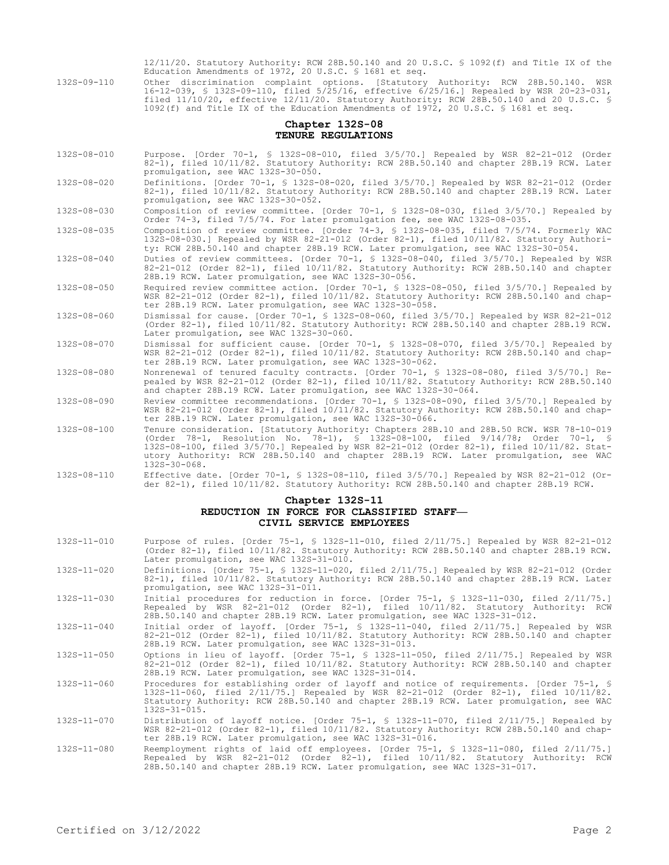12/11/20. Statutory Authority: RCW 28B.50.140 and 20 U.S.C. § 1092(f) and Title IX of the Education Amendments of 1972, 20 U.S.C. § 1681 et seq.

132S-09-110 Other discrimination complaint options. [Statutory Authority: RCW 28B.50.140. WSR 16-12-039, § 132S-09-110, filed 5/25/16, effective 6/25/16.] Repealed by WSR 20-23-031, filed 11/10/20, effective 12/11/20. Statutory Authority: RCW 28B.50.140 and 20 U.S.C. § 1092(f) and Title IX of the Education Amendments of 1972, 20 U.S.C. § 1681 et seq.

# **Chapter 132S-08 TENURE REGULATIONS**

- 132S-08-010 Purpose. [Order 70-1, § 132S-08-010, filed 3/5/70.] Repealed by WSR 82-21-012 (Order 82-1), filed 10/11/82. Statutory Authority: RCW 28B.50.140 and chapter 28B.19 RCW. Later promulgation, see WAC 132S-30-050.
- 132S-08-020 Definitions. [Order 70-1, § 132S-08-020, filed 3/5/70.] Repealed by WSR 82-21-012 (Order 82-1), filed 10/11/82. Statutory Authority: RCW 28B.50.140 and chapter 28B.19 RCW. Later promulgation, see WAC 132S-30-052.

132S-08-030 Composition of review committee. [Order 70-1, § 132S-08-030, filed 3/5/70.] Repealed by Order 74-3, filed 7/5/74. For later promulgation fee, see WAC 132S-08-035.

132S-08-035 Composition of review committee. [Order 74-3, § 132S-08-035, filed 7/5/74. Formerly WAC 132S-08-030.] Repealed by WSR 82-21-012 (Order 82-1), filed 10/11/82. Statutory Authority: RCW 28B.50.140 and chapter 28B.19 RCW. Later promulgation, see WAC 132S-30-054.

132S-08-040 Duties of review committees. [Order 70-1, § 132S-08-040, filed 3/5/70.] Repealed by WSR 82-21-012 (Order 82-1), filed 10/11/82. Statutory Authority: RCW 28B.50.140 and chapter 28B.19 RCW. Later promulgation, see WAC 132S-30-056.

- 132S-08-050 Required review committee action. [Order 70-1, § 132S-08-050, filed 3/5/70.] Repealed by WSR 82-21-012 (Order 82-1), filed 10/11/82. Statutory Authority: RCW 28B.50.140 and chapter 28B.19 RCW. Later promulgation, see WAC 132S-30-058.
- 132S-08-060 Dismissal for cause. [Order 70-1, § 132S-08-060, filed 3/5/70.] Repealed by WSR 82-21-012 (Order 82-1), filed 10/11/82. Statutory Authority: RCW 28B.50.140 and chapter 28B.19 RCW. Later promulgation, see WAC 132S-30-060.
- 132S-08-070 Dismissal for sufficient cause. [Order 70-1, § 132S-08-070, filed 3/5/70.] Repealed by WSR 82-21-012 (Order 82-1), filed 10/11/82. Statutory Authority: RCW 28B.50.140 and chapter 28B.19 RCW. Later promulgation, see WAC 132S-30-062.
- 132S-08-080 Nonrenewal of tenured faculty contracts. [Order 70-1, § 132S-08-080, filed 3/5/70.] Repealed by WSR 82-21-012 (Order 82-1), filed 10/11/82. Statutory Authority: RCW 28B.50.140 and chapter 28B.19 RCW. Later promulgation, see WAC 132S-30-064.
- 132S-08-090 Review committee recommendations. [Order 70-1, § 132S-08-090, filed 3/5/70.] Repealed by WSR 82-21-012 (Order 82-1), filed 10/11/82. Statutory Authority: RCW 28B.50.140 and chapter 28B.19 RCW. Later promulgation, see WAC 132S-30-066.
- 132S-08-100 Tenure consideration. [Statutory Authority: Chapters 28B.10 and 28B.50 RCW. WSR 78-10-019 (Order 78-1, Resolution No. 78-1), § 132S-08-100, filed 9/14/78; Order 70-1, § 132S-08-100, filed 3/5/70.] Repealed by WSR 82-21-012 (Order 82-1), filed 10/11/82. Statutory Authority: RCW 28B.50.140 and chapter 28B.19 RCW. Later promulgation, see WAC 132S-30-068.
- 132S-08-110 Effective date. [Order 70-1, § 132S-08-110, filed 3/5/70.] Repealed by WSR 82-21-012 (Order 82-1), filed 10/11/82. Statutory Authority: RCW 28B.50.140 and chapter 28B.19 RCW.

#### **Chapter 132S-11**

# **REDUCTION IN FORCE FOR CLASSIFIED STAFF— CIVIL SERVICE EMPLOYEES**

- 132S-11-010 Purpose of rules. [Order 75-1, § 132S-11-010, filed 2/11/75.] Repealed by WSR 82-21-012 (Order 82-1), filed 10/11/82. Statutory Authority: RCW 28B.50.140 and chapter 28B.19 RCW. Later promulgation, see WAC 132S-31-010.
- 132S-11-020 Definitions. [Order 75-1, § 132S-11-020, filed 2/11/75.] Repealed by WSR 82-21-012 (Order 82-1), filed 10/11/82. Statutory Authority: RCW 28B.50.140 and chapter 28B.19 RCW. Later promulgation, see WAC 132S-31-011.
- 132S-11-030 Initial procedures for reduction in force. [Order 75-1, § 132S-11-030, filed 2/11/75.] Repealed by WSR 82-21-012 (Order 82-1), filed 10/11/82. Statutory Authority: RCW 28B.50.140 and chapter 28B.19 RCW. Later promulgation, see WAC 132S-31-012.
- 132S-11-040 Initial order of layoff. [Order 75-1, § 132S-11-040, filed 2/11/75.] Repealed by WSR 82-21-012 (Order 82-1), filed 10/11/82. Statutory Authority: RCW 28B.50.140 and chapter 28B.19 RCW. Later promulgation, see WAC 132S-31-013.
- 132S-11-050 Options in lieu of layoff. [Order 75-1, § 132S-11-050, filed 2/11/75.] Repealed by WSR 82-21-012 (Order 82-1), filed 10/11/82. Statutory Authority: RCW 28B.50.140 and chapter 28B.19 RCW. Later promulgation, see WAC 132S-31-014.
- 132S-11-060 Procedures for establishing order of layoff and notice of requirements. [Order 75-1, § 132S-11-060, filed 2/11/75.] Repealed by WSR 82-21-012 (Order 82-1), filed 10/11/82. Statutory Authority: RCW 28B.50.140 and chapter 28B.19 RCW. Later promulgation, see WAC 132S-31-015.
- 132S-11-070 Distribution of layoff notice. [Order 75-1, § 132S-11-070, filed 2/11/75.] Repealed by WSR 82-21-012 (Order 82-1), filed 10/11/82. Statutory Authority: RCW 28B.50.140 and chapter 28B.19 RCW. Later promulgation, see WAC 132S-31-016.
- 132S-11-080 Reemployment rights of laid off employees. [Order 75-1, § 132S-11-080, filed 2/11/75.] Repealed by WSR 82-21-012 (Order 82-1), filed 10/11/82. Statutory Authority: RCW 28B.50.140 and chapter 28B.19 RCW. Later promulgation, see WAC 132S-31-017.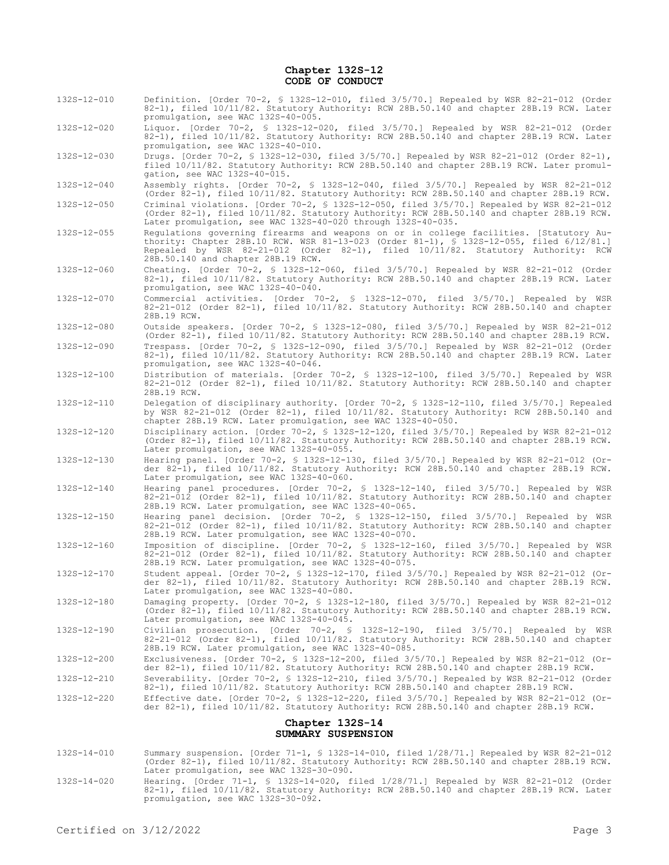## **Chapter 132S-12 CODE OF CONDUCT**

132S-12-010 Definition. [Order 70-2, § 132S-12-010, filed 3/5/70.] Repealed by WSR 82-21-012 (Order 82-1), filed 10/11/82. Statutory Authority: RCW 28B.50.140 and chapter 28B.19 RCW. Later promulgation, see WAC 132S-40-005.

132S-12-020 Liquor. [Order 70-2, § 132S-12-020, filed 3/5/70.] Repealed by WSR 82-21-012 (Order 82-1), filed 10/11/82. Statutory Authority: RCW 28B.50.140 and chapter 28B.19 RCW. Later promulgation, see WAC 132S-40-010.

132S-12-030 Drugs. [Order 70-2, § 132S-12-030, filed 3/5/70.] Repealed by WSR 82-21-012 (Order 82-1), filed 10/11/82. Statutory Authority: RCW 28B.50.140 and chapter 28B.19 RCW. Later promulgation, see WAC 132S-40-015.

132S-12-040 Assembly rights. [Order 70-2, § 132S-12-040, filed 3/5/70.] Repealed by WSR 82-21-012 (Order 82-1), filed 10/11/82. Statutory Authority: RCW 28B.50.140 and chapter 28B.19 RCW.

132S-12-050 Criminal violations. [Order 70-2, § 132S-12-050, filed 3/5/70.] Repealed by WSR 82-21-012 (Order 82-1), filed 10/11/82. Statutory Authority: RCW 28B.50.140 and chapter 28B.19 RCW. Later promulgation, see WAC 132S-40-020 through 132S-40-035.

132S-12-055 Regulations governing firearms and weapons on or in college facilities. [Statutory Authority: Chapter 28B.10 RCW. WSR 81-13-023 (Order 81-1), § 132S-12-055, filed 6/12/81.] Repealed by WSR 82-21-012 (Order 82-1), filed 10/11/82. Statutory Authority: RCW 28B.50.140 and chapter 28B.19 RCW.

132S-12-060 Cheating. [Order 70-2, § 132S-12-060, filed 3/5/70.] Repealed by WSR 82-21-012 (Order 82-1), filed 10/11/82. Statutory Authority: RCW 28B.50.140 and chapter 28B.19 RCW. Later promulgation, see WAC 132S-40-040.

- 132S-12-070 Commercial activities. [Order 70-2, § 132S-12-070, filed 3/5/70.] Repealed by WSR 82-21-012 (Order 82-1), filed 10/11/82. Statutory Authority: RCW 28B.50.140 and chapter 28B.19 RCW.
- 132S-12-080 Outside speakers. [Order 70-2, § 132S-12-080, filed 3/5/70.] Repealed by WSR 82-21-012 (Order 82-1), filed 10/11/82. Statutory Authority: RCW 28B.50.140 and chapter 28B.19 RCW.

132S-12-090 Trespass. [Order 70-2, § 132S-12-090, filed 3/5/70.] Repealed by WSR 82-21-012 (Order 82-1), filed 10/11/82. Statutory Authority: RCW 28B.50.140 and chapter 28B.19 RCW. Later promulgation, see WAC 132S-40-046.

- 132S-12-100 Distribution of materials. [Order 70-2, § 132S-12-100, filed 3/5/70.] Repealed by WSR 82-21-012 (Order 82-1), filed 10/11/82. Statutory Authority: RCW 28B.50.140 and chapter 28B.19 RCW.
- 132S-12-110 Delegation of disciplinary authority. [Order 70-2, § 132S-12-110, filed 3/5/70.] Repealed by WSR 82-21-012 (Order 82-1), filed 10/11/82. Statutory Authority: RCW 28B.50.140 and chapter 28B.19 RCW. Later promulgation, see WAC 132S-40-050.
- 132S-12-120 Disciplinary action. [Order 70-2, § 132S-12-120, filed 3/5/70.] Repealed by WSR 82-21-012 (Order 82-1), filed 10/11/82. Statutory Authority: RCW 28B.50.140 and chapter 28B.19 RCW. Later promulgation, see WAC 132S-40-055.
- 132S-12-130 Hearing panel. [Order 70-2, § 132S-12-130, filed 3/5/70.] Repealed by WSR 82-21-012 (Order 82-1), filed 10/11/82. Statutory Authority: RCW 28B.50.140 and chapter 28B.19 RCW. Later promulgation, see WAC 132S-40-060.
- 132S-12-140 Hearing panel procedures. [Order 70-2, § 132S-12-140, filed 3/5/70.] Repealed by WSR 82-21-012 (Order 82-1), filed 10/11/82. Statutory Authority: RCW 28B.50.140 and chapter 28B.19 RCW. Later promulgation, see WAC 132S-40-065.
- 132S-12-150 Hearing panel decision. [Order 70-2, § 132S-12-150, filed 3/5/70.] Repealed by WSR 82-21-012 (Order 82-1), filed 10/11/82. Statutory Authority: RCW 28B.50.140 and chapter 28B.19 RCW. Later promulgation, see WAC 132S-40-070.
- 132S-12-160 Imposition of discipline. [Order 70-2, § 132S-12-160, filed 3/5/70.] Repealed by WSR 82-21-012 (Order 82-1), filed 10/11/82. Statutory Authority: RCW 28B.50.140 and chapter 28B.19 RCW. Later promulgation, see WAC 132S-40-075.
- 132S-12-170 Student appeal. [Order 70-2, § 132S-12-170, filed 3/5/70.] Repealed by WSR 82-21-012 (Order 82-1), filed 10/11/82. Statutory Authority: RCW 28B.50.140 and chapter 28B.19 RCW. Later promulgation, see WAC 132S-40-080.
- 132S-12-180 Damaging property. [Order 70-2, § 132S-12-180, filed 3/5/70.] Repealed by WSR 82-21-012 (Order 82-1), filed 10/11/82. Statutory Authority: RCW 28B.50.140 and chapter 28B.19 RCW. Later promulgation, see WAC 132S-40-045.
- 132S-12-190 Civilian prosecution. [Order 70-2, § 132S-12-190, filed 3/5/70.] Repealed by WSR 82-21-012 (Order 82-1), filed 10/11/82. Statutory Authority: RCW 28B.50.140 and chapter 28B.19 RCW. Later promulgation, see WAC 132S-40-085.
- 132S-12-200 Exclusiveness. [Order 70-2, § 132S-12-200, filed 3/5/70.] Repealed by WSR 82-21-012 (Order 82-1), filed 10/11/82. Statutory Authority: RCW 28B.50.140 and chapter 28B.19 RCW.
- 132S-12-210 Severability. [Order 70-2, § 132S-12-210, filed 3/5/70.] Repealed by WSR 82-21-012 (Order 82-1), filed 10/11/82. Statutory Authority: RCW 28B.50.140 and chapter 28B.19 RCW.
- 132S-12-220 Effective date. [Order 70-2, § 132S-12-220, filed 3/5/70.] Repealed by WSR 82-21-012 (Order 82-1), filed 10/11/82. Statutory Authority: RCW 28B.50.140 and chapter 28B.19 RCW.

#### **Chapter 132S-14 SUMMARY SUSPENSION**

- 132S-14-010 Summary suspension. [Order 71-1, § 132S-14-010, filed 1/28/71.] Repealed by WSR 82-21-012 (Order 82-1), filed 10/11/82. Statutory Authority: RCW 28B.50.140 and chapter 28B.19 RCW. Later promulgation, see WAC 132S-30-090.
- 132S-14-020 Hearing. [Order 71-1, § 132S-14-020, filed 1/28/71.] Repealed by WSR 82-21-012 (Order 82-1), filed 10/11/82. Statutory Authority: RCW 28B.50.140 and chapter 28B.19 RCW. Later promulgation, see WAC 132S-30-092.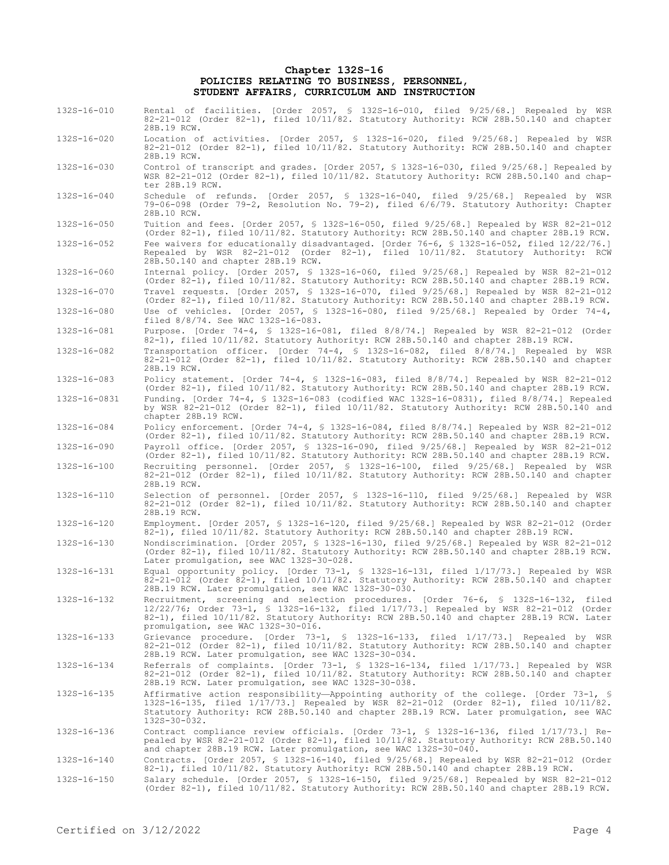#### **Chapter 132S-16 POLICIES RELATING TO BUSINESS, PERSONNEL, STUDENT AFFAIRS, CURRICULUM AND INSTRUCTION**

- 132S-16-010 Rental of facilities. [Order 2057, § 132S-16-010, filed 9/25/68.] Repealed by WSR 82-21-012 (Order 82-1), filed 10/11/82. Statutory Authority: RCW 28B.50.140 and chapter 28B.19 RCW.
- 132S-16-020 Location of activities. [Order 2057, § 132S-16-020, filed 9/25/68.] Repealed by WSR 82-21-012 (Order 82-1), filed 10/11/82. Statutory Authority: RCW 28B.50.140 and chapter 28B.19 RCW.
- 132S-16-030 Control of transcript and grades. [Order 2057, § 132S-16-030, filed 9/25/68.] Repealed by WSR 82-21-012 (Order 82-1), filed 10/11/82. Statutory Authority: RCW 28B.50.140 and chapter 28B.19 RCW.
- 132S-16-040 Schedule of refunds. [Order 2057, § 132S-16-040, filed 9/25/68.] Repealed by WSR 79-06-098 (Order 79-2, Resolution No. 79-2), filed 6/6/79. Statutory Authority: Chapter 28B.10 RCW.
- 132S-16-050 Tuition and fees. [Order 2057, § 132S-16-050, filed 9/25/68.] Repealed by WSR 82-21-012 (Order 82-1), filed 10/11/82. Statutory Authority: RCW 28B.50.140 and chapter 28B.19 RCW.

132S-16-052 Fee waivers for educationally disadvantaged. [Order 76-6, § 132S-16-052, filed 12/22/76.] (Order 82-1), filed 10/11/82. Statutory Authority: RCW 28B.50.140 and chapter 28B.19 RCW.

132S-16-060 Internal policy. [Order 2057, § 132S-16-060, filed 9/25/68.] Repealed by WSR 82-21-012 (Order 82-1), filed 10/11/82. Statutory Authority: RCW 28B.50.140 and chapter 28B.19 RCW. 132S-16-070 Travel requests. [Order 2057, § 132S-16-070, filed 9/25/68.] Repealed by WSR 82-21-012

(Order 82-1), filed 10/11/82. Statutory Authority: RCW 28B.50.140 and chapter 28B.19 RCW. 132S-16-080 Use of vehicles. [Order 2057, § 132S-16-080, filed 9/25/68.] Repealed by Order 74-4,

filed 8/8/74. See WAC 132S-16-083. 132S-16-081 Purpose. [Order 74-4, § 132S-16-081, filed 8/8/74.] Repealed by WSR 82-21-012 (Order 82-1), filed 10/11/82. Statutory Authority: RCW 28B.50.140 and chapter 28B.19 RCW.

132S-16-082 Transportation officer. [Order 74-4, § 132S-16-082, filed 8/8/74.] Repealed by WSR 82-21-012 (Order 82-1), filed 10/11/82. Statutory Authority: RCW 28B.50.140 and chapter 28B.19 RCW.

132S-16-083 Policy statement. [Order 74-4, § 132S-16-083, filed 8/8/74.] Repealed by WSR 82-21-012 (Order 82-1), filed 10/11/82. Statutory Authority: RCW 28B.50.140 and chapter 28B.19 RCW. 132S-16-0831 Funding. [Order 74-4, § 132S-16-083 (codified WAC 132S-16-0831), filed 8/8/74.] Repealed

by WSR 82-21-012 (Order 82-1), filed 10/11/82. Statutory Authority: RCW 28B.50.140 and chapter 28B.19 RCW.

- 132S-16-084 Policy enforcement. [Order 74-4, § 132S-16-084, filed 8/8/74.] Repealed by WSR 82-21-012 (Order 82-1), filed 10/11/82. Statutory Authority: RCW 28B.50.140 and chapter 28B.19 RCW. 132S-16-090 Payroll office. [Order 2057, § 132S-16-090, filed 9/25/68.] Repealed by WSR 82-21-012
- (Order 82-1), filed 10/11/82. Statutory Authority: RCW 28B.50.140 and chapter 28B.19 RCW. 132S-16-100 Recruiting personnel. [Order 2057, § 132S-16-100, filed 9/25/68.] Repealed by WSR 82-21-012 (Order 82-1), filed 10/11/82. Statutory Authority: RCW 28B.50.140 and chapter 28B.19 RCW.
- 132S-16-110 Selection of personnel. [Order 2057, § 132S-16-110, filed 9/25/68.] Repealed by WSR 82-21-012 (Order 82-1), filed 10/11/82. Statutory Authority: RCW 28B.50.140 and chapter 28B.19 RCW.
- 132S-16-120 Employment. [Order 2057, § 132S-16-120, filed 9/25/68.] Repealed by WSR 82-21-012 (Order 82-1), filed 10/11/82. Statutory Authority: RCW 28B.50.140 and chapter 28B.19 RCW.

132S-16-130 Nondiscrimination. [Order 2057, § 132S-16-130, filed 9/25/68.] Repealed by WSR 82-21-012 (Order 82-1), filed 10/11/82. Statutory Authority: RCW 28B.50.140 and chapter 28B.19 RCW. Later promulgation, see WAC 132S-30-028.

132S-16-131 Equal opportunity policy. [Order 73-1, § 132S-16-131, filed 1/17/73.] Repealed by WSR 82-21-012 (Order 82-1), filed 10/11/82. Statutory Authority: RCW 28B.50.140 and chapter 28B.19 RCW. Later promulgation, see WAC 132S-30-030.

132S-16-132 Recruitment, screening and selection procedures. [Order 76-6, § 132S-16-132, filed 12/22/76; Order 73-1, § 132S-16-132, filed 1/17/73.] Repealed by WSR 82-21-012 (Order 82-1), filed 10/11/82. Statutory Authority: RCW 28B.50.140 and chapter 28B.19 RCW. Later promulgation, see WAC 132S-30-016.

132S-16-133 Grievance procedure. [Order 73-1, § 132S-16-133, filed 1/17/73.] Repealed by WSR 82-21-012 (Order 82-1), filed 10/11/82. Statutory Authority: RCW 28B.50.140 and chapter 28B.19 RCW. Later promulgation, see WAC 132S-30-034.

132S-16-134 Referrals of complaints. [Order 73-1, § 132S-16-134, filed 1/17/73.] Repealed by WSR 82-21-012 (Order 82-1), filed 10/11/82. Statutory Authority: RCW 28B.50.140 and chapter 28B.19 RCW. Later promulgation, see WAC 132S-30-038.

132S-16-135 Affirmative action responsibility—Appointing authority of the college. [Order 73-1, § 132S-16-135, filed 1/17/73.] Repealed by WSR 82-21-012 (Order 82-1), filed 10/11/82. Statutory Authority: RCW 28B.50.140 and chapter 28B.19 RCW. Later promulgation, see WAC 132S-30-032.

132S-16-136 Contract compliance review officials. [Order 73-1, § 132S-16-136, filed 1/17/73.] Repealed by WSR 82-21-012 (Order 82-1), filed 10/11/82. Statutory Authority: RCW 28B.50.140 and chapter 28B.19 RCW. Later promulgation, see WAC 132S-30-040.

132S-16-140 Contracts. [Order 2057, § 132S-16-140, filed 9/25/68.] Repealed by WSR 82-21-012 (Order 82-1), filed 10/11/82. Statutory Authority: RCW 28B.50.140 and chapter 28B.19 RCW.

132S-16-150 Salary schedule. [Order 2057, § 132S-16-150, filed 9/25/68.] Repealed by WSR 82-21-012 (Order 82-1), filed 10/11/82. Statutory Authority: RCW 28B.50.140 and chapter 28B.19 RCW.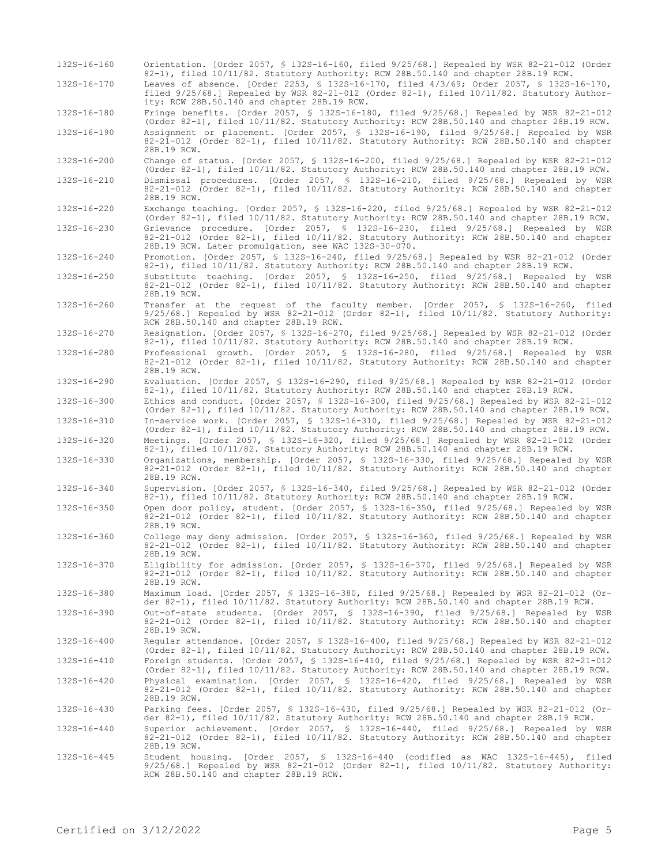| 132S-16-160 | Orientation. [Order 2057, § 132S-16-160, filed 9/25/68.] Repealed by WSR 82-21-012 (Order<br>82-1), filed 10/11/82. Statutory Authority: RCW 28B.50.140 and chapter 28B.19 RCW.                                                     |
|-------------|-------------------------------------------------------------------------------------------------------------------------------------------------------------------------------------------------------------------------------------|
| 132S-16-170 | Leaves of absence. [Order 2253, § 132S-16-170, filed 4/3/69; Order 2057, § 132S-16-170,<br>filed 9/25/68.] Repealed by WSR 82-21-012 (Order 82-1), filed 10/11/82. Statutory Author-<br>ity: RCW 28B.50.140 and chapter 28B.19 RCW. |
| 132S-16-180 | Fringe benefits. [Order 2057, § 132S-16-180, filed 9/25/68.] Repealed by WSR 82-21-012<br>(Order 82-1), filed 10/11/82. Statutory Authority: RCW 28B.50.140 and chapter 28B.19 RCW.                                                 |
| 132S-16-190 | Assignment or placement. [Order 2057, § 132S-16-190, filed 9/25/68.] Repealed by WSR<br>82-21-012 (Order 82-1), filed 10/11/82. Statutory Authority: RCW 28B.50.140 and chapter<br>28B.19 RCW.                                      |
| 132S-16-200 | Change of status. [Order 2057, § 132S-16-200, filed $9/25/68$ .] Repealed by WSR 82-21-012<br>(Order 82-1), filed 10/11/82. Statutory Authority: RCW 28B.50.140 and chapter 28B.19 RCW.                                             |
| 132S-16-210 | Dismissal procedures. [Order 2057, § 132S-16-210, filed 9/25/68.] Repealed by WSR<br>82-21-012 (Order 82-1), filed 10/11/82. Statutory Authority: RCW 28B.50.140 and chapter<br>28B.19 RCW.                                         |
| 132S-16-220 | Exchange teaching. [Order 2057, § 132S-16-220, filed 9/25/68.] Repealed by WSR 82-21-012<br>(Order 82-1), filed 10/11/82. Statutory Authority: RCW 28B.50.140 and chapter 28B.19 RCW.                                               |
| 132S-16-230 | Grievance procedure. [Order 2057, § 132S-16-230, filed 9/25/68.] Repealed by WSR<br>82-21-012 (Order 82-1), filed 10/11/82. Statutory Authority: RCW 28B.50.140 and chapter<br>28B.19 RCW. Later promulgation, see WAC 132S-30-070. |
| 132S-16-240 | Promotion. [Order 2057, § 132S-16-240, filed 9/25/68.] Repealed by WSR 82-21-012 (Order<br>82-1), filed 10/11/82. Statutory Authority: RCW 28B.50.140 and chapter 28B.19 RCW.                                                       |
| 132S-16-250 | Substitute teaching. [Order 2057, § 132S-16-250, filed 9/25/68.] Repealed by WSR<br>82-21-012 (Order 82-1), filed 10/11/82. Statutory Authority: RCW 28B.50.140 and chapter<br>28B.19 RCW.                                          |
| 132S-16-260 | Transfer at the request of the faculty member. [Order 2057, § 132S-16-260, filed<br>$9/25/68$ .] Repealed by WSR 82-21-012 (Order 82-1), filed $10/11/82$ . Statutory Authority:<br>RCW 28B.50.140 and chapter 28B.19 RCW.          |
| 132S-16-270 | Resignation. [Order 2057, § 132S-16-270, filed 9/25/68.] Repealed by WSR 82-21-012 (Order<br>82-1), filed 10/11/82. Statutory Authority: RCW 28B.50.140 and chapter 28B.19 RCW.                                                     |
| 132S-16-280 | Professional growth. [Order 2057, § 132S-16-280, filed 9/25/68.] Repealed by WSR<br>82-21-012 (Order 82-1), filed 10/11/82. Statutory Authority: RCW 28B.50.140 and chapter<br>28B.19 RCW.                                          |
| 132S-16-290 | Evaluation. [Order 2057, § 132S-16-290, filed 9/25/68.] Repealed by WSR 82-21-012 (Order<br>82-1), filed 10/11/82. Statutory Authority: RCW 28B.50.140 and chapter 28B.19 RCW.                                                      |
| 132S-16-300 | Ethics and conduct. [Order 2057, § 132S-16-300, filed 9/25/68.] Repealed by WSR 82-21-012<br>(Order 82-1), filed 10/11/82. Statutory Authority: RCW 28B.50.140 and chapter 28B.19 RCW.                                              |
| 132S-16-310 | In-service work. [Order 2057, \$ 132S-16-310, filed 9/25/68.] Repealed by WSR 82-21-012<br>(Order 82-1), filed 10/11/82. Statutory Authority: RCW 28B.50.140 and chapter 28B.19 RCW.                                                |
| 132S-16-320 | Meetings. [Order 2057, § 132S-16-320, filed 9/25/68.] Repealed by WSR 82-21-012 (Order<br>82-1), filed 10/11/82. Statutory Authority: RCW 28B.50.140 and chapter 28B.19 RCW.                                                        |
| 132S-16-330 | Organizations, membership. [Order 2057, § 132S-16-330, filed 9/25/68.] Repealed by WSR<br>82-21-012 (Order 82-1), filed 10/11/82. Statutory Authority: RCW 28B.50.140 and chapter<br>28B.19 RCW.                                    |
| 132S-16-340 | Supervision. [Order 2057, § 132S-16-340, filed 9/25/68.] Repealed by WSR 82-21-012 (Order<br>82-1), filed 10/11/82. Statutory Authority: RCW 28B.50.140 and chapter 28B.19 RCW.                                                     |
| 132S-16-350 | Open door policy, student. [Order 2057, § 132S-16-350, filed 9/25/68.] Repealed by WSR<br>82-21-012 (Order 82-1), filed 10/11/82. Statutory Authority: RCW 28B.50.140 and chapter<br>28B.19 RCW.                                    |
| 132S-16-360 | College may deny admission. [Order 2057, § 132S-16-360, filed 9/25/68.] Repealed by WSR<br>82-21-012 (Order 82-1), filed 10/11/82. Statutory Authority: RCW 28B.50.140 and chapter<br>28B.19 RCW.                                   |
| 132S-16-370 | Eligibility for admission. [Order 2057, § 132S-16-370, filed 9/25/68.] Repealed by WSR<br>82-21-012 (Order 82-1), filed 10/11/82. Statutory Authority: RCW 28B.50.140 and chapter<br>28B.19 RCW.                                    |
| 132S-16-380 | Maximum load. [Order 2057, § 132S-16-380, filed 9/25/68.] Repealed by WSR 82-21-012 (Or-<br>der 82-1), filed 10/11/82. Statutory Authority: RCW 28B.50.140 and chapter 28B.19 RCW.                                                  |
| 132S-16-390 | Out-of-state students. [Order 2057, § 132S-16-390, filed 9/25/68.] Repealed by WSR<br>82-21-012 (Order 82-1), filed 10/11/82. Statutory Authority: RCW 28B.50.140 and chapter<br>28B.19 RCW.                                        |
| 132S-16-400 | Reqular attendance. [Order 2057, § 132S-16-400, filed 9/25/68.] Repealed by WSR 82-21-012<br>(Order 82-1), filed 10/11/82. Statutory Authority: RCW 28B.50.140 and chapter 28B.19 RCW.                                              |
| 132S-16-410 | Foreign students. [Order 2057, § 132S-16-410, filed 9/25/68.] Repealed by WSR 82-21-012<br>(Order 82-1), filed 10/11/82. Statutory Authority: RCW 28B.50.140 and chapter 28B.19 RCW.                                                |
| 132S-16-420 | Physical examination. [Order 2057, § 132S-16-420, filed 9/25/68.] Repealed by WSR<br>82-21-012 (Order 82-1), filed 10/11/82. Statutory Authority: RCW 28B.50.140 and chapter<br>28B.19 RCW.                                         |
| 132S-16-430 | Parking fees. [Order 2057, § 132S-16-430, filed 9/25/68.] Repealed by WSR 82-21-012 (Or-<br>der 82-1), filed 10/11/82. Statutory Authority: RCW 28B.50.140 and chapter 28B.19 RCW.                                                  |
| 132S-16-440 | Superior achievement. [Order 2057, § 132S-16-440, filed 9/25/68.] Repealed by WSR<br>82-21-012 (Order 82-1), filed 10/11/82. Statutory Authority: RCW 28B.50.140 and chapter<br>28B.19 RCW.                                         |
| 132S-16-445 | Student housing. [Order 2057, § 132S-16-440 (codified as WAC 132S-16-445), filed<br>$9/25/68$ .] Repealed by WSR 82-21-012 (Order 82-1), filed $10/11/82$ . Statutory Authority:                                                    |

RCW 28B.50.140 and chapter 28B.19 RCW.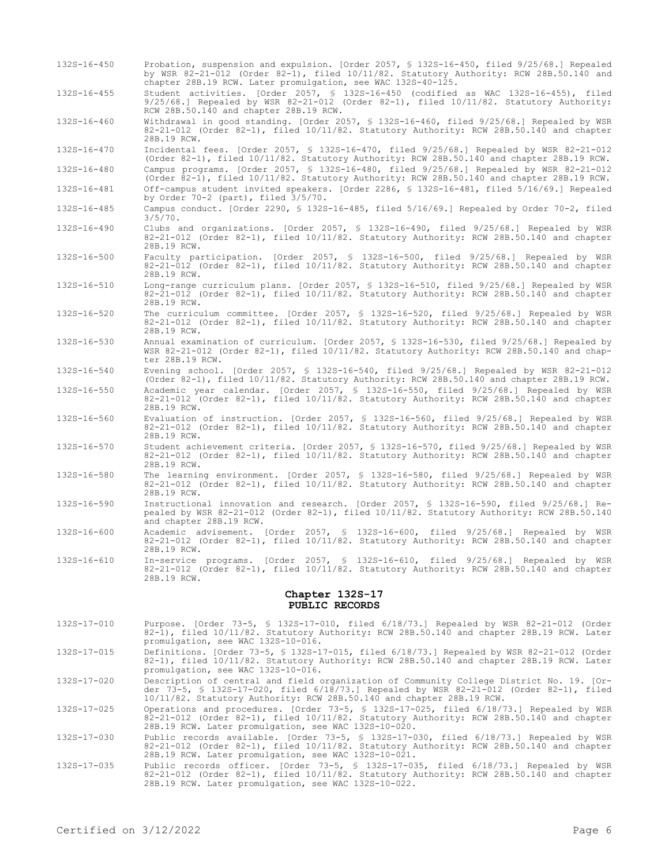| 132S-16-450       | Probation, suspension and expulsion. [Order 2057, § 132S-16-450, filed 9/25/68.] Repealed<br>by WSR 82-21-012 (Order 82-1), filed 10/11/82. Statutory Authority: RCW 28B.50.140 and<br>chapter 28B.19 RCW. Later promulgation, see WAC 132S-40-125. |
|-------------------|-----------------------------------------------------------------------------------------------------------------------------------------------------------------------------------------------------------------------------------------------------|
| $132S - 16 - 455$ | Student activities. [Order 2057, § 132S-16-450 (codified as WAC 132S-16-455), filed<br>$9/25/68$ .] Repealed by WSR 82-21-012 (Order 82-1), filed $10/11/82$ . Statutory Authority:<br>RCW 28B.50.140 and chapter 28B.19 RCW.                       |
| 132S-16-460       | Withdrawal in good standing. [Order 2057, § 132S-16-460, filed 9/25/68.] Repealed by WSR<br>82-21-012 (Order 82-1), filed 10/11/82. Statutory Authority: RCW 28B.50.140 and chapter<br>28B.19 RCW.                                                  |
| 132S-16-470       | Incidental fees. [Order 2057, § 132S-16-470, filed 9/25/68.] Repealed by WSR 82-21-012<br>(Order 82-1), filed 10/11/82. Statutory Authority: RCW 28B.50.140 and chapter 28B.19 RCW.                                                                 |
| 132S-16-480       | Campus programs. [Order 2057, § 132S-16-480, filed 9/25/68.] Repealed by WSR 82-21-012<br>(Order 82-1), filed 10/11/82. Statutory Authority: RCW 28B.50.140 and chapter 28B.19 RCW.                                                                 |
| 132S-16-481       | Off-campus student invited speakers. [Order 2286, § 132S-16-481, filed 5/16/69.] Repealed<br>by Order $70-2$ (part), filed $3/5/70$ .                                                                                                               |
| 132S-16-485       | Campus conduct. [Order 2290, § 132S-16-485, filed 5/16/69.] Repealed by Order 70-2, filed<br>$3/5/70$ .                                                                                                                                             |
| 132S-16-490       | Clubs and organizations. [Order 2057, § 132S-16-490, filed 9/25/68.] Repealed by WSR<br>82-21-012 (Order 82-1), filed 10/11/82. Statutory Authority: RCW 28B.50.140 and chapter<br>28B.19 RCW.                                                      |
| 132S-16-500       | Faculty participation. [Order 2057, § 132S-16-500, filed 9/25/68.] Repealed by WSR<br>82-21-012 (Order 82-1), filed 10/11/82. Statutory Authority: RCW 28B.50.140 and chapter<br>28B.19 RCW.                                                        |
| 132S-16-510       | Long-range curriculum plans. [Order 2057, § 132S-16-510, filed 9/25/68.] Repealed by WSR<br>82-21-012 (Order 82-1), filed 10/11/82. Statutory Authority: RCW 28B.50.140 and chapter<br>28B.19 RCW.                                                  |
| 132S-16-520       | The curriculum committee. [Order 2057, § 132S-16-520, filed 9/25/68.] Repealed by WSR<br>82-21-012 (Order 82-1), filed 10/11/82. Statutory Authority: RCW 28B.50.140 and chapter<br>28B.19 RCW.                                                     |
| 132S-16-530       | Annual examination of curriculum. [Order 2057, § 132S-16-530, filed 9/25/68.] Repealed by<br>WSR 82-21-012 (Order 82-1), filed $10/11/82$ . Statutory Authority: RCW 28B.50.140 and chap-<br>ter 28B.19 RCW.                                        |
| 132S-16-540       | Evening school. [Order 2057, \$ 132S-16-540, filed 9/25/68.] Repealed by WSR 82-21-012<br>(Order 82-1), filed 10/11/82. Statutory Authority: RCW 28B.50.140 and chapter 28B.19 RCW.                                                                 |
| 132S-16-550       | Academic year calendar. [Order 2057, § 132S-16-550, filed 9/25/68.] Repealed by WSR<br>82-21-012 (Order 82-1), filed 10/11/82. Statutory Authority: RCW 28B.50.140 and chapter<br>28B.19 RCW.                                                       |
| 132S-16-560       | Evaluation of instruction. [Order 2057, § 132S-16-560, filed 9/25/68.] Repealed by WSR<br>82-21-012 (Order 82-1), filed 10/11/82. Statutory Authority: RCW 28B.50.140 and chapter<br>28B.19 RCW.                                                    |
| 132S-16-570       | Student achievement criteria. [Order 2057, \$ 132S-16-570, filed 9/25/68.] Repealed by WSR<br>82-21-012 (Order 82-1), filed 10/11/82. Statutory Authority: RCW 28B.50.140 and chapter<br>28B.19 RCW.                                                |
| 132S-16-580       | The learning environment. [Order 2057, § 132S-16-580, filed 9/25/68.] Repealed by WSR<br>82-21-012 (Order 82-1), filed 10/11/82. Statutory Authority: RCW 28B.50.140 and chapter<br>28B.19 RCW.                                                     |
| 132S-16-590       | Instructional innovation and research. [Order 2057, § 132S-16-590, filed 9/25/68.] Re-<br>pealed by WSR 82-21-012 (Order 82-1), filed 10/11/82. Statutory Authority: RCW 28B.50.140<br>and chapter 28B.19 RCW.                                      |
| $132S - 16 - 600$ | Academic advisement. [Order 2057, § 132S-16-600, filed 9/25/68.] Repealed by WSR<br>82-21-012 (Order 82-1), filed 10/11/82. Statutory Authority: RCW 28B.50.140 and chapter<br>28B.19 RCW.                                                          |
| 132S-16-610       | In-service programs. [Order 2057, § 132S-16-610, filed 9/25/68.] Repealed by WSR<br>82-21-012 (Order 82-1), filed 10/11/82. Statutory Authority: RCW 28B.50.140 and chapter<br>28B.19 RCW.                                                          |
|                   | Chapter 132S-17                                                                                                                                                                                                                                     |

# **PUBLIC RECORDS**

- 132S-17-010 Purpose. [Order 73-5, § 132S-17-010, filed 6/18/73.] Repealed by WSR 82-21-012 (Order 82-1), filed 10/11/82. Statutory Authority: RCW 28B.50.140 and chapter 28B.19 RCW. Later promulgation, see WAC 132S-10-016.
- 132S-17-015 Definitions. [Order 73-5, § 132S-17-015, filed 6/18/73.] Repealed by WSR 82-21-012 (Order 82-1), filed 10/11/82. Statutory Authority: RCW 28B.50.140 and chapter 28B.19 RCW. Later promulgation, see WAC 132S-10-016.

132S-17-020 Description of central and field organization of Community College District No. 19. [Order 73-5, § 132S-17-020, filed 6/18/73.] Repealed by WSR 82-21-012 (Order 82-1), filed 10/11/82. Statutory Authority: RCW 28B.50.140 and chapter 28B.19 RCW.

132S-17-025 Operations and procedures. [Order 73-5, § 132S-17-025, filed 6/18/73.] Repealed by WSR 82-21-012 (Order 82-1), filed 10/11/82. Statutory Authority: RCW 28B.50.140 and chapter 28B.19 RCW. Later promulgation, see WAC 132S-10-020.

132S-17-030 Public records available. [Order 73-5, § 132S-17-030, filed 6/18/73.] Repealed by WSR 82-21-012 (Order 82-1), filed 10/11/82. Statutory Authority: RCW 28B.50.140 and chapter 28B.19 RCW. Later promulgation, see WAC 132S-10-021.

132S-17-035 Public records officer. [Order 73-5, § 132S-17-035, filed 6/18/73.] Repealed by WSR 82-21-012 (Order 82-1), filed 10/11/82. Statutory Authority: RCW 28B.50.140 and chapter 28B.19 RCW. Later promulgation, see WAC 132S-10-022.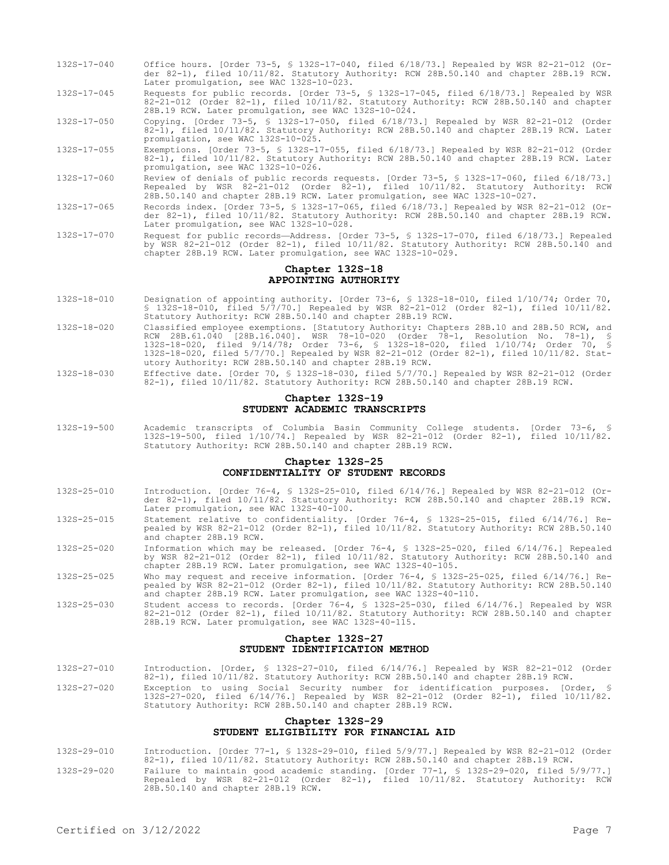- 132S-17-040 Office hours. [Order 73-5, § 132S-17-040, filed 6/18/73.] Repealed by WSR 82-21-012 (Order 82-1), filed 10/11/82. Statutory Authority: RCW 28B.50.140 and chapter 28B.19 RCW. Later promulgation, see WAC 132S-10-023.
- 132S-17-045 Requests for public records. [Order 73-5, § 132S-17-045, filed 6/18/73.] Repealed by WSR 82-21-012 (Order 82-1), filed 10/11/82. Statutory Authority: RCW 28B.50.140 and chapter 28B.19 RCW. Later promulgation, see WAC 132S-10-024.
- 132S-17-050 Copying. [Order 73-5, § 132S-17-050, filed 6/18/73.] Repealed by WSR 82-21-012 (Order 82-1), filed 10/11/82. Statutory Authority: RCW 28B.50.140 and chapter 28B.19 RCW. Later promulgation, see WAC 132S-10-025.
- 132S-17-055 Exemptions. [Order 73-5, § 132S-17-055, filed 6/18/73.] Repealed by WSR 82-21-012 (Order 82-1), filed 10/11/82. Statutory Authority: RCW 28B.50.140 and chapter 28B.19 RCW. Later promulgation, see WAC 132S-10-026.
- 132S-17-060 Review of denials of public records requests. [Order 73-5, § 132S-17-060, filed 6/18/73.] Repealed by WSR 82-21-012 (Order 82-1), filed 10/11/82. Statutory Authority: RCW 28B.50.140 and chapter 28B.19 RCW. Later promulgation, see WAC 132S-10-027.
- 132S-17-065 Records index. [Order 73-5, § 132S-17-065, filed 6/18/73.] Repealed by WSR 82-21-012 (Order 82-1), filed 10/11/82. Statutory Authority: RCW 28B.50.140 and chapter 28B.19 RCW. Later promulgation, see WAC 132S-10-028.
- 132S-17-070 Request for public records—Address. [Order 73-5, § 132S-17-070, filed 6/18/73.] Repealed by WSR 82-21-012 (Order 82-1), filed 10/11/82. Statutory Authority: RCW 28B.50.140 and chapter 28B.19 RCW. Later promulgation, see WAC 132S-10-029.

# **Chapter 132S-18 APPOINTING AUTHORITY**

- 132S-18-010 Designation of appointing authority. [Order 73-6, § 132S-18-010, filed 1/10/74; Order 70, § 132S-18-010, filed 5/7/70.] Repealed by WSR 82-21-012 (Order 82-1), filed 10/11/82. Statutory Authority: RCW 28B.50.140 and chapter 28B.19 RCW.
- 132S-18-020 Classified employee exemptions. [Statutory Authority: Chapters 28B.10 and 28B.50 RCW, and RCW 28B.61.040 [28B.16.040]. WSR 78-10-020 (Order 78-1, Resolution No. 78-1), § 132S-18-020, filed 9/14/78; Order 73-6, § 132S-18-020, filed 1/10/74; Order 70, § 132S-18-020, filed 5/7/70.] Repealed by WSR 82-21-012 (Order 82-1), filed 10/11/82. Statutory Authority: RCW 28B.50.140 and chapter 28B.19 RCW.
- 132S-18-030 Effective date. [Order 70, § 132S-18-030, filed 5/7/70.] Repealed by WSR 82-21-012 (Order 82-1), filed 10/11/82. Statutory Authority: RCW 28B.50.140 and chapter 28B.19 RCW.

# **Chapter 132S-19 STUDENT ACADEMIC TRANSCRIPTS**

132S-19-500 Academic transcripts of Columbia Basin Community College students. [Order 73-6, § 132S-19-500, filed 1/10/74.] Repealed by WSR 82-21-012 (Order 82-1), filed 10/11/82. Statutory Authority: RCW 28B.50.140 and chapter 28B.19 RCW.

# **Chapter 132S-25 CONFIDENTIALITY OF STUDENT RECORDS**

- 132S-25-010 Introduction. [Order 76-4, § 132S-25-010, filed 6/14/76.] Repealed by WSR 82-21-012 (Order 82-1), filed 10/11/82. Statutory Authority: RCW 28B.50.140 and chapter 28B.19 RCW. Later promulgation, see WAC 132S-40-100.
- 132S-25-015 Statement relative to confidentiality. [Order 76-4, § 132S-25-015, filed 6/14/76.] Repealed by WSR 82-21-012 (Order 82-1), filed 10/11/82. Statutory Authority: RCW 28B.50.140 and chapter 28B.19 RCW.
- 132S-25-020 Information which may be released. [Order 76-4, § 132S-25-020, filed 6/14/76.] Repealed by WSR 82-21-012 (Order 82-1), filed 10/11/82. Statutory Authority: RCW 28B.50.140 and chapter 28B.19 RCW. Later promulgation, see WAC 132S-40-105.
- 132S-25-025 Who may request and receive information. [Order 76-4, § 132S-25-025, filed 6/14/76.] Repealed by WSR 82-21-012 (Order 82-1), filed 10/11/82. Statutory Authority: RCW 28B.50.140 and chapter 28B.19 RCW. Later promulgation, see WAC 132S-40-110
- 132S-25-030 Student access to records. [Order 76-4, § 132S-25-030, filed 6/14/76.] Repealed by WSR 82-21-012 (Order 82-1), filed 10/11/82. Statutory Authority: RCW 28B.50.140 and chapter 28B.19 RCW. Later promulgation, see WAC 132S-40-115.

### **Chapter 132S-27 STUDENT IDENTIFICATION METHOD**

- 132S-27-010 Introduction. [Order, § 132S-27-010, filed 6/14/76.] Repealed by WSR 82-21-012 (Order 82-1), filed 10/11/82. Statutory Authority: RCW 28B.50.140 and chapter 28B.19 RCW.
- 132S-27-020 Exception to using Social Security number for identification purposes. [Order, § 132S-27-020, filed 6/14/76.] Repealed by WSR 82-21-012 (Order 82-1), filed 10/11/82. Statutory Authority: RCW 28B.50.140 and chapter 28B.19 RCW.

# **Chapter 132S-29 STUDENT ELIGIBILITY FOR FINANCIAL AID**

- 132S-29-010 Introduction. [Order 77-1, § 132S-29-010, filed 5/9/77.] Repealed by WSR 82-21-012 (Order 82-1), filed 10/11/82. Statutory Authority: RCW 28B.50.140 and chapter 28B.19 RCW.
- 132S-29-020 Failure to maintain good academic standing. [Order 77-1, § 132S-29-020, filed 5/9/77.] Repealed by WSR 82-21-012 (Order 82-1), filed 10/11/82. Statutory Authority: RCW 28B.50.140 and chapter 28B.19 RCW.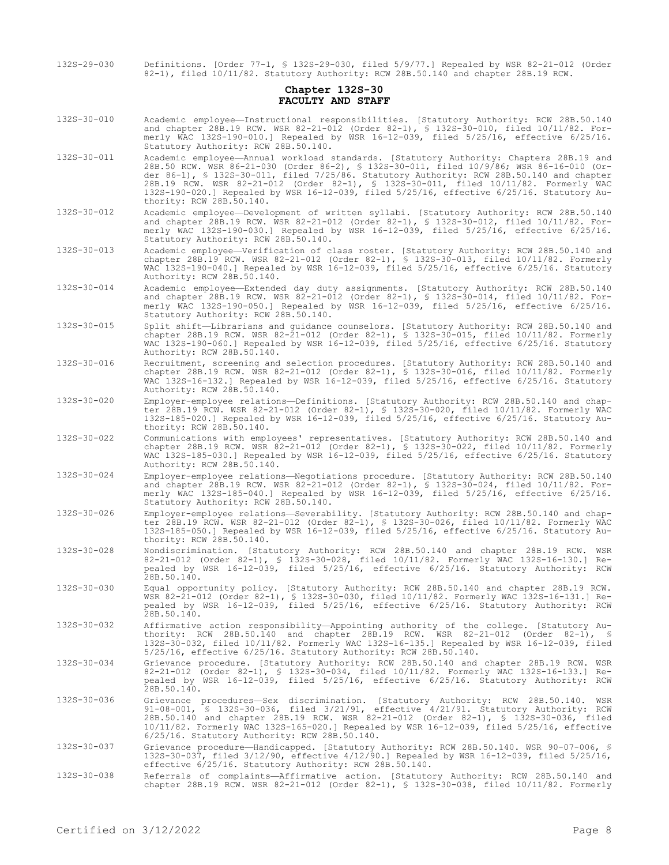|                                      | 82-1), filed 10/11/82. Statutory Authority: RCW 28B.50.140 and chapter 28B.19 RCW.                                                                                                                                                                                                                                                                                                                                                                                                                |
|--------------------------------------|---------------------------------------------------------------------------------------------------------------------------------------------------------------------------------------------------------------------------------------------------------------------------------------------------------------------------------------------------------------------------------------------------------------------------------------------------------------------------------------------------|
| Chapter 1328-30<br>FACULTY AND STAFF |                                                                                                                                                                                                                                                                                                                                                                                                                                                                                                   |
| 132S-30-010                          | Academic employee—Instructional responsibilities. [Statutory Authority: RCW 28B.50.140]<br>and chapter 28B.19 RCW. WSR 82-21-012 (Order 82-1), § 132S-30-010, filed 10/11/82. For-<br>merly WAC 132S-190-010.] Repealed by WSR 16-12-039, filed 5/25/16, effective 6/25/16.<br>Statutory Authority: RCW 28B.50.140.                                                                                                                                                                               |
| 132S-30-011                          | Academic employee-Annual workload standards. [Statutory Authority: Chapters 28B.19 and<br>28B.50 RCW. WSR 86-21-030 (Order 86-2), § 132S-30-011, filed 10/9/86; WSR 86-16-010 (Or-<br>der 86-1), § 132S-30-011, filed $7/25/86$ . Statutory Authority: RCW 28B.50.140 and chapter<br>28B.19 RCW. WSR 82-21-012 (Order 82-1), § 132S-30-011, filed 10/11/82. Formerly WAC<br>132S-190-020.] Repealed by WSR 16-12-039, filed 5/25/16, effective 6/25/16. Statutory Au-<br>thority: RCW 28B.50.140. |
| 132S-30-012                          | Academic employee-Development of written syllabi. [Statutory Authority: RCW 28B.50.140<br>and chapter 28B.19 RCW. WSR 82-21-012 (Order 82-1), § 132S-30-012, filed 10/11/82. For-<br>merly WAC 132S-190-030.] Repealed by WSR 16-12-039, filed 5/25/16, effective 6/25/16.<br>Statutory Authority: RCW 28B.50.140.                                                                                                                                                                                |
| 132S-30-013                          | Academic employee—Verification of class roster. [Statutory Authority: RCW 28B.50.140 and<br>chapter 28B.19 RCW. WSR 82-21-012 (Order 82-1), § 132S-30-013, filed 10/11/82. Formerly<br>WAC 132S-190-040.] Repealed by WSR 16-12-039, filed 5/25/16, effective 6/25/16. Statutory<br>Authority: RCW 28B.50.140.                                                                                                                                                                                    |
| 132S-30-014                          | Academic employee-Extended day duty assignments. [Statutory Authority: RCW 28B.50.140<br>and chapter 28B.19 RCW. WSR 82-21-012 (Order 82-1), § 132S-30-014, filed 10/11/82. For-<br>merly WAC 132S-190-050.] Repealed by WSR 16-12-039, filed 5/25/16, effective 6/25/16.<br>Statutory Authority: RCW 28B.50.140.                                                                                                                                                                                 |
| 132S-30-015                          | Split shift-Librarians and quidance counselors. [Statutory Authority: RCW 28B.50.140 and<br>chapter 28B.19 RCW. WSR 82-21-012 (Order 82-1), § 132S-30-015, filed 10/11/82. Formerly<br>WAC 132S-190-060.] Repealed by WSR 16-12-039, filed 5/25/16, effective 6/25/16. Statutory<br>Authority: RCW 28B.50.140.                                                                                                                                                                                    |
| 132S-30-016                          | Recruitment, screening and selection procedures. [Statutory Authority: RCW 28B.50.140 and<br>chapter 28B.19 RCW. WSR 82-21-012 (Order 82-1), $\frac{1}{5}$ 132S-30-016, filed 10/11/82. Formerly<br>WAC 132S-16-132.] Repealed by WSR 16-12-039, filed $5/25/16$ , effective $6/25/16$ . Statutory<br>Authority: RCW 28B.50.140.                                                                                                                                                                  |
| 1325-30-020                          | Employer-employee relations-Definitions. [Statutory Authority: RCW 28B.50.140 and chap-<br>ter 28B.19 RCW. WSR 82-21-012 (Order 82-1), § 132S-30-020, filed 10/11/82. Formerly WAC<br>132S-185-020.] Repealed by WSR 16-12-039, filed 5/25/16, effective 6/25/16. Statutory Au-<br>thority: RCW 28B.50.140.                                                                                                                                                                                       |
| 132S-30-022                          | Communications with employees' representatives. [Statutory Authority: RCW 28B.50.140 and<br>chapter 28B.19 RCW. WSR 82-21-012 (Order 82-1), $\frac{1}{2}$ 132S-30-022, filed 10/11/82. Formerly<br>WAC 132S-185-030.] Repealed by WSR 16-12-039, filed 5/25/16, effective 6/25/16. Statutory<br>Authority: RCW 28B.50.140.                                                                                                                                                                        |
| 132S-30-024                          | Employer-employee relations-Negotiations procedure. [Statutory Authority: RCW 28B.50.140<br>and chapter 28B.19 RCW. WSR 82-21-012 (Order 82-1), § 132S-30-024, filed 10/11/82. For-<br>merly WAC 132S-185-040.] Repealed by WSR 16-12-039, filed 5/25/16, effective 6/25/16.<br>Statutory Authority: RCW 28B.50.140.                                                                                                                                                                              |
| 132S-30-026                          | Employer-employee relations-Severability. [Statutory Authority: RCW 28B.50.140 and chap-<br>ter 28B.19 RCW. WSR 82-21-012 (Order 82-1), § 132S-30-026, filed 10/11/82. Formerly WAC<br>132S-185-050.] Repealed by WSR 16-12-039, filed 5/25/16, effective 6/25/16. Statutory Au-<br>thority: RCW 28B.50.140.                                                                                                                                                                                      |
| 132S-30-028                          | Nondiscrimination. [Statutory Authority: RCW 28B.50.140 and chapter 28B.19 RCW. WSR<br>82-21-012 (Order 82-1), § 132S-30-028, filed 10/11/82. Formerly WAC 132S-16-130.] Re-<br>pealed by WSR 16-12-039, filed 5/25/16, effective 6/25/16. Statutory Authority: RCW<br>28B.50.140.                                                                                                                                                                                                                |
| 132S-30-030                          | Equal opportunity policy. [Statutory Authority: RCW 28B.50.140 and chapter 28B.19 RCW.<br>WSR 82-21-012 (Order 82-1), § 132S-30-030, filed 10/11/82. Formerly WAC 132S-16-131.] Re-<br>pealed by WSR 16-12-039, filed 5/25/16, effective 6/25/16. Statutory Authority: RCW<br>28B.50.140.                                                                                                                                                                                                         |
| 132S-30-032                          | Affirmative action responsibility—Appointing authority of the college. [Statutory Au-<br>thority: RCW 28B.50.140 and chapter 28B.19 RCW. WSR 82-21-012 (Order 82-1), §<br>132S-30-032, filed 10/11/82. Formerly WAC 132S-16-135.] Repealed by WSR 16-12-039, filed<br>$5/25/16$ , effective $6/25/16$ . Statutory Authority: RCW 28B.50.140.                                                                                                                                                      |
| 132S-30-034                          | Grievance procedure. [Statutory Authority: RCW 28B.50.140 and chapter 28B.19 RCW. WSR<br>82-21-012 (Order 82-1), § 132S-30-034, filed 10/11/82. Formerly WAC 132S-16-133.] Re-<br>pealed by WSR 16-12-039, filed 5/25/16, effective 6/25/16. Statutory Authority: RCW<br>28B.50.140.                                                                                                                                                                                                              |
| 132S-30-036                          | Grievance procedures—Sex discrimination. [Statutory Authority: RCW 28B.50.140. WSR<br>$91-08-001$ , § 132S-30-036, filed $3/21/91$ , effective $4/21/91$ . Statutory Authority: RCW<br>28B.50.140 and chapter 28B.19 RCW. WSR 82-21-012 (Order 82-1), § 132S-30-036, filed<br>10/11/82. Formerly WAC 132S-165-020.] Repealed by WSR 16-12-039, filed 5/25/16, effective<br>6/25/16. Statutory Authority: RCW 28B.50.140.                                                                          |
| 132S-30-037                          | Grievance procedure—Handicapped. [Statutory Authority: RCW 28B.50.140. WSR 90-07-006, §<br>132S-30-037, filed 3/12/90, effective 4/12/90.] Repealed by WSR 16-12-039, filed 5/25/16,<br>effective 6/25/16. Statutory Authority: RCW 28B.50.140.                                                                                                                                                                                                                                                   |
| 132S-30-038                          | Referrals of complaints—Affirmative action. [Statutory Authority: RCW 28B.50.140 and<br>chapter 28B.19 RCW. WSR 82-21-012 (Order 82-1), § 132S-30-038, filed 10/11/82. Formerly                                                                                                                                                                                                                                                                                                                   |

132S-29-030 Definitions. [Order 77-1, § 132S-29-030, filed 5/9/77.] Repealed by WSR 82-21-012 (Order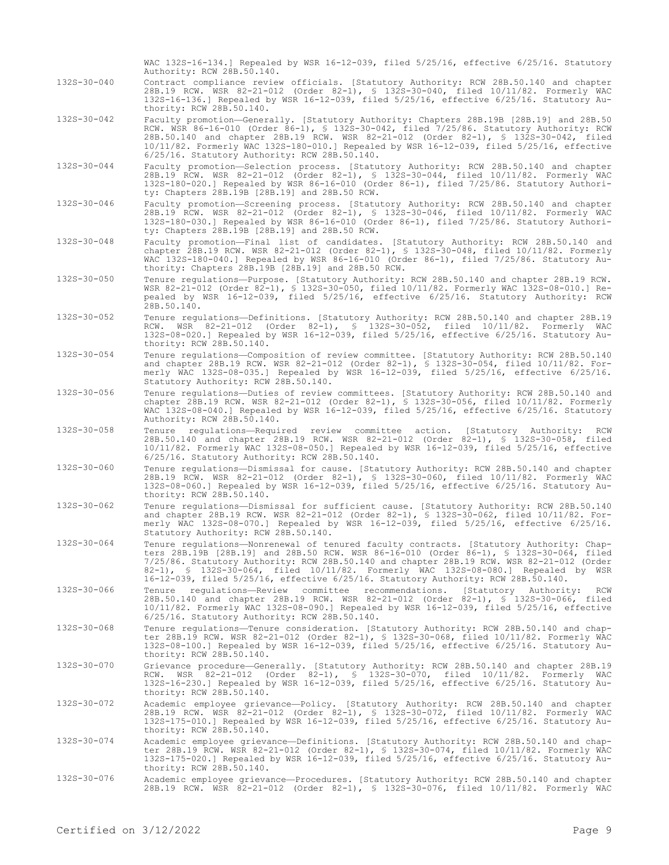132S-30-040 Contract compliance review officials. [Statutory Authority: RCW 28B.50.140 and chapter 28B.19 RCW. WSR 82-21-012 (Order 82-1), § 132S-30-040, filed 10/11/82. Formerly WAC 132S-16-136.] Repealed by WSR 16-12-039, filed 5/25/16, effective 6/25/16. Statutory Authority: RCW 28B.50.140. 132S-30-042 Faculty promotion—Generally. [Statutory Authority: Chapters 28B.19B [28B.19] and 28B.50 RCW. WSR 86-16-010 (Order 86-1), § 132S-30-042, filed 7/25/86. Statutory Authority: RCW 28B.50.140 and chapter 28B.19 RCW. WSR 82-21-012 (Order 82-1), § 132S-30-042, filed 10/11/82. Formerly WAC 132S-180-010.] Repealed by WSR 16-12-039, filed 5/25/16, effective 6/25/16. Statutory Authority: RCW 28B.50.140. 132S-30-044 Faculty promotion—Selection process. [Statutory Authority: RCW 28B.50.140 and chapter 28B.19 RCW. WSR 82-21-012 (Order 82-1), § 132S-30-044, filed 10/11/82. Formerly WAC 132S-180-020.] Repealed by WSR 86-16-010 (Order 86-1), filed 7/25/86. Statutory Authority: Chapters 28B.19B [28B.19] and 28B.50 RCW. 132S-30-046 Faculty promotion—Screening process. [Statutory Authority: RCW 28B.50.140 and chapter 28B.19 RCW. WSR 82-21-012 (Order 82-1), § 132S-30-046, filed 10/11/82. Formerly WAC 132S-180-030.] Repealed by WSR 86-16-010 (Order 86-1), filed 7/25/86. Statutory Authority: Chapters 28B.19B [28B.19] and 28B.50 RCW. 132S-30-048 Faculty promotion—Final list of candidates. [Statutory Authority: RCW 28B.50.140 and chapter 28B.19 RCW. WSR 82-21-012 (Order 82-1), § 132S-30-048, filed 10/11/82. Formerly WAC 132S-180-040.] Repealed by WSR 86-16-010 (Order 86-1), filed 7/25/86. Statutory Authority: Chapters 28B.19B [28B.19] and 28B.50 RCW. 132S-30-050 Tenure regulations—Purpose. [Statutory Authority: RCW 28B.50.140 and chapter 28B.19 RCW. WSR 82-21-012 (Order 82-1), § 132S-30-050, filed 10/11/82. Formerly WAC 132S-08-010.] Repealed by WSR 16-12-039, filed 5/25/16, effective 6/25/16. Statutory Authority: RCW 28B.50.140. 132S-30-052 Tenure regulations—Definitions. [Statutory Authority: RCW 28B.50.140 and chapter 28B.19 RCW. WSR 82-21-012 (Order 82-1), § 132S-30-052, filed 10/11/82. Formerly WAC 132S-08-020.] Repealed by WSR 16-12-039, filed 5/25/16, effective 6/25/16. Statutory Authority: RCW 28B.50.140. 132S-30-054 Tenure regulations—Composition of review committee. [Statutory Authority: RCW 28B.50.140 and chapter 28B.19 RCW. WSR 82-21-012 (Order 82-1), § 132S-30-054, filed 10/11/82. Formerly WAC 132S-08-035.] Repealed by WSR 16-12-039, filed 5/25/16, effective 6/25/16. Statutory Authority: RCW 28B.50.140. 132S-30-056 Tenure regulations—Duties of review committees. [Statutory Authority: RCW 28B.50.140 and chapter 28B.19 RCW. WSR 82-21-012 (Order 82-1), § 132S-30-056, filed 10/11/82. Formerly WAC 132S-08-040.] Repealed by WSR 16-12-039, filed 5/25/16, effective 6/25/16. Statutory Authority: RCW 28B.50.140. 132S-30-058 Tenure regulations—Required review committee action. [Statutory Authority: RCW 28B.50.140 and chapter 28B.19 RCW. WSR 82-21-012 (Order 82-1), § 132S-30-058, filed 10/11/82. Formerly WAC 132S-08-050.] Repealed by WSR 16-12-039, filed 5/25/16, effective 6/25/16. Statutory Authority: RCW 28B.50.140. 132S-30-060 Tenure regulations—Dismissal for cause. [Statutory Authority: RCW 28B.50.140 and chapter 28B.19 RCW. WSR 82-21-012 (Order 82-1), § 132S-30-060, filed 10/11/82. Formerly WAC 132S-08-060.] Repealed by WSR 16-12-039, filed 5/25/16, effective 6/25/16. Statutory Authority: RCW 28B.50.140. 132S-30-062 Tenure regulations—Dismissal for sufficient cause. [Statutory Authority: RCW 28B.50.140 and chapter 28B.19 RCW. WSR 82-21-012 (Order 82-1), § 132S-30-062, filed 10/11/82. Formerly WAC 132S-08-070.] Repealed by WSR 16-12-039, filed 5/25/16, effective 6/25/16. Statutory Authority: RCW 28B.50.140. 132S-30-064 Tenure regulations—Nonrenewal of tenured faculty contracts. [Statutory Authority: Chapters 28B.19B [28B.19] and 28B.50 RCW. WSR 86-16-010 (Order 86-1), § 132S-30-064, filed 7/25/86. Statutory Authority: RCW 28B.50.140 and chapter 28B.19 RCW. WSR 82-21-012 (Order 82-1), § 132S-30-064, filed 10/11/82. Formerly WAC 132S-08-080.] Repealed by WSR 16-12-039, filed 5/25/16, effective 6/25/16. Statutory Authority: RCW 28B.50.140. 132S-30-066 Tenure regulations—Review committee recommendations. [Statutory Authority: RCW 28B.50.140 and chapter 28B.19 RCW. WSR 82-21-012 (Order 82-1), § 132S-30-066, filed 10/11/82. Formerly WAC 132S-08-090.] Repealed by WSR 16-12-039, filed 5/25/16, effective 6/25/16. Statutory Authority: RCW 28B.50.140. 132S-30-068 Tenure regulations—Tenure consideration. [Statutory Authority: RCW 28B.50.140 and chapter 28B.19 RCW. WSR 82-21-012 (Order 82-1), § 132S-30-068, filed 10/11/82. Formerly WAC 132S-08-100.] Repealed by WSR 16-12-039, filed 5/25/16, effective 6/25/16. Statutory Authority: RCW 28B.50.140. 132S-30-070 Grievance procedure—Generally. [Statutory Authority: RCW 28B.50.140 and chapter 28B.19 RCW. WSR 82-21-012 (Order 82-1), § 132S-30-070, filed 10/11/82. Formerly WAC 132S-16-230.] Repealed by WSR 16-12-039, filed 5/25/16, effective 6/25/16. Statutory Authority: RCW 28B.50.140. 132S-30-072 Academic employee grievance—Policy. [Statutory Authority: RCW 28B.50.140 and chapter 28B.19 RCW. WSR 82-21-012 (Order 82-1), § 132S-30-072, filed 10/11/82. Formerly WAC 132S-175-010.] Repealed by WSR 16-12-039, filed 5/25/16, effective 6/25/16. Statutory Au-thority: RCW 28B.50.140. 132S-30-074 Academic employee grievance—Definitions. [Statutory Authority: RCW 28B.50.140 and chapter 28B.19 RCW. WSR 82-21-012 (Order 82-1), § 132S-30-074, filed 10/11/82. Formerly WAC 132S-175-020.] Repealed by WSR 16-12-039, filed 5/25/16, effective 6/25/16. Statutory Authority: RCW 28B.50.140. 132S-30-076 Academic employee grievance—Procedures. [Statutory Authority: RCW 28B.50.140 and chapter 28B.19 RCW. WSR 82-21-012 (Order 82-1), § 132S-30-076, filed 10/11/82. Formerly WAC

WAC 132S-16-134.] Repealed by WSR 16-12-039, filed 5/25/16, effective 6/25/16. Statutory

Authority: RCW 28B.50.140.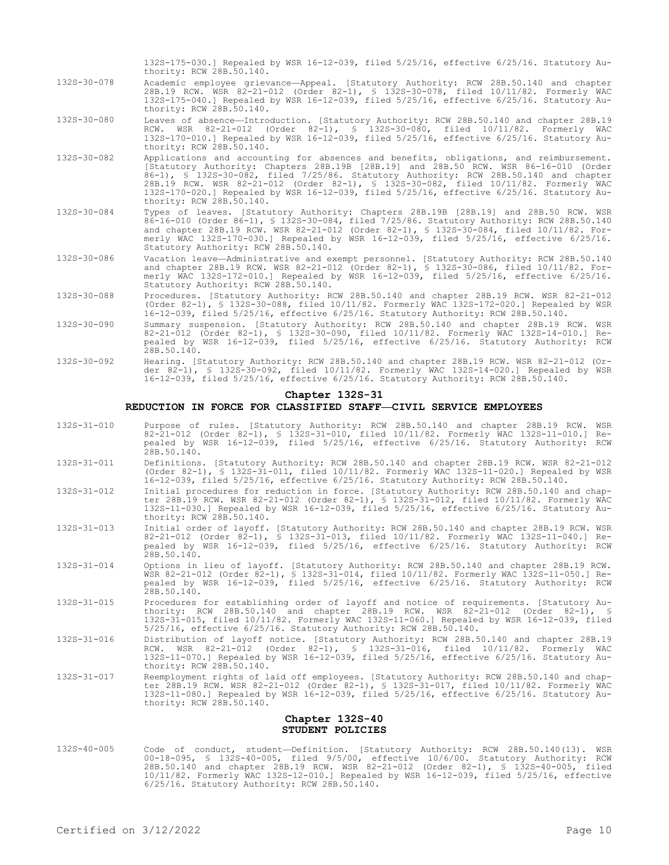- 132S-175-030.] Repealed by WSR 16-12-039, filed 5/25/16, effective 6/25/16. Statutory Authority: RCW 28B.50.140.
- 132S-30-078 Academic employee grievance—Appeal. [Statutory Authority: RCW 28B.50.140 and chapter 28B.19 RCW. WSR 82-21-012 (Order 82-1), § 132S-30-078, filed 10/11/82. Formerly WAC 132S-175-040.] Repealed by WSR 16-12-039, filed 5/25/16, effective 6/25/16. Statutory Authority: RCW 28B.50.140.
- 132S-30-080 Leaves of absence—Introduction. [Statutory Authority: RCW 28B.50.140 and chapter 28B.19 RCW. WSR 82-21-012 (Order 82-1), § 132S-30-080, filed 10/11/82. Formerly WAC 132S-170-010.] Repealed by WSR 16-12-039, filed 5/25/16, effective 6/25/16. Statutory Authority: RCW 28B.50.140.
- 132S-30-082 Applications and accounting for absences and benefits, obligations, and reimbursement. [Statutory Authority: Chapters 28B.19B [28B.19] and 28B.50 RCW. WSR 86-16-010 (Order 86-1), § 132S-30-082, filed 7/25/86. Statutory Authority: RCW 28B.50.140 and chapter 28B.19 RCW. WSR 82-21-012 (Order 82-1), § 132S-30-082, filed 10/11/82. Formerly WAC 132S-170-020.] Repealed by WSR 16-12-039, filed 5/25/16, effective 6/25/16. Statutory Authority: RCW 28B.50.140.
- 132S-30-084 Types of leaves. [Statutory Authority: Chapters 28B.19B [28B.19] and 28B.50 RCW. WSR 86-16-010 (Order 86-1), § 132S-30-084, filed 7/25/86. Statutory Authority: RCW 28B.50.140 and chapter 28B.19 RCW. WSR 82-21-012 (Order 82-1), § 132S-30-084, filed 10/11/82. Formerly WAC 132S-170-030.] Repealed by WSR 16-12-039, filed 5/25/16, effective 6/25/16. Statutory Authority: RCW 28B.50.140.
- 132S-30-086 Vacation leave—Administrative and exempt personnel. [Statutory Authority: RCW 28B.50.140 and chapter 28B.19 RCW. WSR 82-21-012 (Order 82-1), § 132S-30-086, filed 10/11/82. Formerly WAC 132S-172-010.] Repealed by WSR 16-12-039, filed 5/25/16, effective 6/25/16. Statutory Authority: RCW 28B.50.140.
- 132S-30-088 Procedures. [Statutory Authority: RCW 28B.50.140 and chapter 28B.19 RCW. WSR 82-21-012 (Order 82-1), § 132S-30-088, filed 10/11/82. Formerly WAC 132S-172-020.] Repealed by WSR 16-12-039, filed 5/25/16, effective 6/25/16. Statutory Authority: RCW 28B.50.140.
- 132S-30-090 Summary suspension. [Statutory Authority: RCW 28B.50.140 and chapter 28B.19 RCW. WSR 82-21-012 (Order 82-1), § 132S-30-090, filed 10/11/82. Formerly WAC 132S-14-010.] Repealed by WSR 16-12-039, filed 5/25/16, effective 6/25/16. Statutory Authority: RCW 28B.50.140.
- 132S-30-092 Hearing. [Statutory Authority: RCW 28B.50.140 and chapter 28B.19 RCW. WSR 82-21-012 (Order 82-1), § 132S-30-092, filed 10/11/82. Formerly WAC 132S-14-020.] Repealed by WSR 16-12-039, filed 5/25/16, effective 6/25/16. Statutory Authority: RCW 28B.50.140.

# **Chapter 132S-31**

# **REDUCTION IN FORCE FOR CLASSIFIED STAFF—CIVIL SERVICE EMPLOYEES**

- 132S-31-010 Purpose of rules. [Statutory Authority: RCW 28B.50.140 and chapter 28B.19 RCW. WSR 82-21-012 (Order 82-1), § 132S-31-010, filed 10/11/82. Formerly WAC 132S-11-010.] Repealed by WSR 16-12-039, filed 5/25/16, effective 6/25/16. Statutory Authority: RCW 28B.50.140.
- 132S-31-011 Definitions. [Statutory Authority: RCW 28B.50.140 and chapter 28B.19 RCW. WSR 82-21-012 (Order 82-1), § 132S-31-011, filed 10/11/82. Formerly WAC 132S-11-020.] Repealed by WSR 16-12-039, filed 5/25/16, effective 6/25/16. Statutory Authority: RCW 28B.50.140.
- 132S-31-012 Initial procedures for reduction in force. [Statutory Authority: RCW 28B.50.140 and chapter 28B.19 RCW. WSR 82-21-012 (Order 82-1), § 132S-31-012, filed 10/11/82. Formerly WAC 132S-11-030.] Repealed by WSR 16-12-039, filed 5/25/16, effective 6/25/16. Statutory Authority: RCW 28B.50.140.
- 132S-31-013 Initial order of layoff. [Statutory Authority: RCW 28B.50.140 and chapter 28B.19 RCW. WSR 82-21-012 (Order 82-1), § 132S-31-013, filed 10/11/82. Formerly WAC 132S-11-040.] Repealed by WSR 16-12-039, filed 5/25/16, effective 6/25/16. Statutory Authority: RCW 28B.50.140.
- 132S-31-014 Options in lieu of layoff. [Statutory Authority: RCW 28B.50.140 and chapter 28B.19 RCW. WSR 82-21-012 (Order 82-1), § 132S-31-014, filed 10/11/82. Formerly WAC 132S-11-050.] Repealed by WSR 16-12-039, filed 5/25/16, effective 6/25/16. Statutory Authority: RCW 28B.50.140.
- 132S-31-015 Procedures for establishing order of layoff and notice of requirements. [Statutory Authority: RCW 28B.50.140 and chapter 28B.19 RCW. WSR 82-21-012 (Order 82-1), § 132S-31-015, filed 10/11/82. Formerly WAC 132S-11-060.] Repealed by WSR 16-12-039, filed 5/25/16, effective 6/25/16. Statutory Authority: RCW 28B.50.140.
- 132S-31-016 Distribution of layoff notice. [Statutory Authority: RCW 28B.50.140 and chapter 28B.19 RCW. WSR 82-21-012 (Order 82-1), § 132S-31-016, filed 10/11/82. Formerly WAC 132S-11-070.] Repealed by WSR 16-12-039, filed 5/25/16, effective 6/25/16. Statutory Authority: RCW 28B.50.140.
- 132S-31-017 Reemployment rights of laid off employees. [Statutory Authority: RCW 28B.50.140 and chapter 28B.19 RCW. WSR 82-21-012 (Order 82-1), § 132S-31-017, filed 10/11/82. Formerly WAC 132S-11-080.] Repealed by WSR 16-12-039, filed 5/25/16, effective 6/25/16. Statutory Authority: RCW 28B.50.140.

#### **Chapter 132S-40 STUDENT POLICIES**

132S-40-005 Code of conduct, student—Definition. [Statutory Authority: RCW 28B.50.140(13). WSR 00-18-095, § 132S-40-005, filed 9/5/00, effective 10/6/00. Statutory Authority: RCW 28B.50.140 and chapter 28B.19 RCW. WSR 82-21-012 (Order 82-1), § 132S-40-005, filed 10/11/82. Formerly WAC 132S-12-010.] Repealed by WSR 16-12-039, filed 5/25/16, effective 6/25/16. Statutory Authority: RCW 28B.50.140.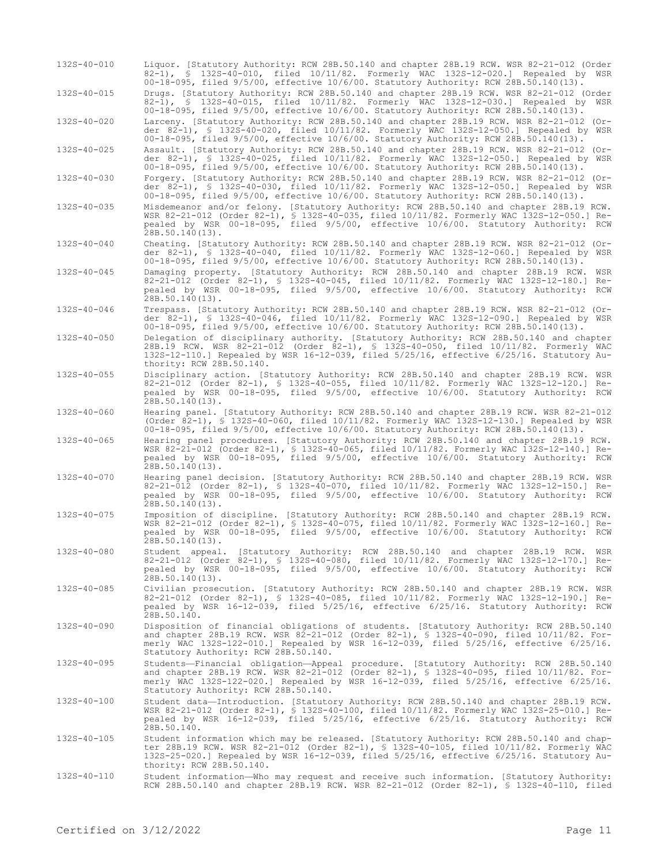| $132S - 40 - 010$ | Liquor. [Statutory Authority: RCW 28B.50.140 and chapter 28B.19 RCW. WSR 82-21-012 (Order<br>82-1), § 132S-40-010, filed 10/11/82. Formerly WAC 132S-12-020.] Repealed by WSR<br>00-18-095, filed $9/5/00$ , effective $10/6/00$ . Statutory Authority: RCW 28B.50.140(13).                                        |
|-------------------|--------------------------------------------------------------------------------------------------------------------------------------------------------------------------------------------------------------------------------------------------------------------------------------------------------------------|
| 132S-40-015       | Drugs. [Statutory Authority: RCW 28B.50.140 and chapter 28B.19 RCW. WSR 82-21-012 (Order<br>82-1), § 132S-40-015, filed 10/11/82. Formerly WAC 132S-12-030.] Repealed by<br>WSR<br>00-18-095, filed 9/5/00, effective 10/6/00. Statutory Authority: RCW 28B.50.140(13).                                            |
| 132S-40-020       | Larceny. [Statutory Authority: RCW 28B.50.140 and chapter 28B.19 RCW. WSR 82-21-012 (Or-<br>der 82-1), § 132S-40-020, filed 10/11/82. Formerly WAC 132S-12-050.] Repealed by WSR<br>00-18-095, filed 9/5/00, effective 10/6/00. Statutory Authority: RCW 28B.50.140(13).                                           |
| 132S-40-025       | Assault. [Statutory Authority: RCW 28B.50.140 and chapter 28B.19 RCW. WSR 82-21-012 (Or-<br>der 82-1), § 132S-40-025, filed 10/11/82. Formerly WAC 132S-12-050.] Repealed by WSR<br>00-18-095, filed $9/5/00$ , effective $10/6/00$ . Statutory Authority: RCW 28B.50.140(13).                                     |
| 132S-40-030       | Forgery. [Statutory Authority: RCW 28B.50.140 and chapter 28B.19 RCW. WSR 82-21-012 (Or-<br>der 82-1), § 132S-40-030, filed 10/11/82. Formerly WAC 132S-12-050.] Repealed by WSR<br>00-18-095, filed 9/5/00, effective 10/6/00. Statutory Authority: RCW 28B.50.140(13).                                           |
| 132S-40-035       | Misdemeanor and/or felony. [Statutory Authority: RCW 28B.50.140 and chapter 28B.19 RCW.<br>WSR 82-21-012 (Order 82-1), § 132S-40-035, filed 10/11/82. Formerly WAC 132S-12-050.] Re-<br>pealed by WSR 00-18-095, filed 9/5/00, effective 10/6/00. Statutory Authority: RCW<br>$28B.50.140(13)$ .                   |
| 132S-40-040       | Cheating. [Statutory Authority: RCW 28B.50.140 and chapter 28B.19 RCW. WSR 82-21-012 (Or-<br>der 82-1), § 132S-40-040, filed 10/11/82. Formerly WAC 132S-12-060.] Repealed by WSR<br>00-18-095, filed $9/5/00$ , effective $10/6/00$ . Statutory Authority: RCW 28B.50.140(13).                                    |
| $132S - 40 - 045$ | Damaging property. [Statutory Authority: RCW 28B.50.140 and chapter 28B.19 RCW. WSR<br>82-21-012 (Order 82-1), § 132S-40-045, filed 10/11/82. Formerly WAC 132S-12-180.] Re-<br>pealed by WSR 00-18-095, filed 9/5/00, effective 10/6/00. Statutory Authority: RCW<br>$28B.50.140(13)$ .                           |
| 132S-40-046       | Trespass. [Statutory Authority: RCW 28B.50.140 and chapter 28B.19 RCW. WSR 82-21-012 (Or-<br>der 82-1), § 132S-40-046, filed 10/11/82. Formerly WAC 132S-12-090.] Repealed by WSR<br>00-18-095, filed $9/5/00$ , effective $10/6/00$ . Statutory Authority: RCW 28B.50.140(13).                                    |
| 132S-40-050       | Delegation of disciplinary authority. [Statutory Authority: RCW 28B.50.140 and chapter<br>28B.19 RCW. WSR 82-21-012 (Order 82-1), § 132S-40-050, filed 10/11/82. Formerly WAC<br>132S-12-110.] Repealed by WSR 16-12-039, filed 5/25/16, effective 6/25/16. Statutory Au-<br>thority: RCW 28B.50.140.              |
| 132S-40-055       | Disciplinary action. [Statutory Authority: RCW 28B.50.140 and chapter 28B.19 RCW. WSR<br>82-21-012 (Order 82-1), § 132S-40-055, filed 10/11/82. Formerly WAC 132S-12-120.] Re-<br>pealed by WSR 00-18-095, filed 9/5/00, effective 10/6/00. Statutory Authority: RCW<br>28B.50.140(13).                            |
| 132S-40-060       | Hearing panel. [Statutory Authority: RCW 28B.50.140 and chapter 28B.19 RCW. WSR 82-21-012<br>(Order 82-1), § 132S-40-060, filed 10/11/82. Formerly WAC 132S-12-130.] Repealed by WSR<br>00-18-095, filed 9/5/00, effective 10/6/00. Statutory Authority: RCW 28B.50.140(13).                                       |
| 132S-40-065       | Hearing panel procedures. [Statutory Authority: RCW 28B.50.140 and chapter 28B.19 RCW.<br>WSR 82-21-012 (Order 82-1), § 132S-40-065, filed 10/11/82. Formerly WAC 132S-12-140.] Re-<br>pealed by WSR 00-18-095, filed 9/5/00, effective 10/6/00. Statutory Authority: RCW<br>28B.50.140(13).                       |
| 132S-40-070       | Hearing panel decision. [Statutory Authority: RCW 28B.50.140 and chapter 28B.19 RCW. WSR<br>82-21-012 (Order 82-1), § 132S-40-070, filed 10/11/82. Formerly WAC 132S-12-150.] Re-<br>pealed by WSR 00-18-095, filed 9/5/00, effective 10/6/00. Statutory Authority: RCW<br>28B.50.140(13).                         |
| 132S-40-075       | Imposition of discipline. [Statutory Authority: RCW 28B.50.140 and chapter 28B.19 RCW.<br>WSR 82-21-012 (Order 82-1), § 132S-40-075, filed 10/11/82. Formerly WAC 132S-12-160.] Re-<br>pealed by WSR 00-18-095, filed 9/5/00, effective 10/6/00. Statutory Authority: RCW<br>$28B.50.140(13)$ .                    |
| $132S - 40 - 080$ | Student appeal. [Statutory Authority: RCW 28B.50.140 and chapter 28B.19 RCW. WSR<br>82-21-012 (Order 82-1), \$ 132S-40-080, filed 10/11/82. Formerly WAC 132S-12-170.] Re-<br>pealed by WSR 00-18-095, filed 9/5/00, effective 10/6/00. Statutory Authority: RCW<br>28B.50.140(13).                                |
| 132S-40-085       | Civilian prosecution. [Statutory Authority: RCW 28B.50.140 and chapter 28B.19 RCW. WSR<br>82-21-012 (Order 82-1), \$ 1325-40-085, filed 10/11/82. Formerly WAC 132S-12-190.] Re-<br>pealed by WSR 16-12-039, filed 5/25/16, effective 6/25/16. Statutory Authority: RCW<br>28B.50.140.                             |
| 132S-40-090       | Disposition of financial obligations of students. [Statutory Authority: RCW 28B.50.140<br>and chapter 28B.19 RCW. WSR 82-21-012 (Order 82-1), § 132S-40-090, filed 10/11/82. For-<br>merly WAC 132S-122-010.] Repealed by WSR 16-12-039, filed 5/25/16, effective 6/25/16.<br>Statutory Authority: RCW 28B.50.140. |
| 132S-40-095       | Students-Financial obligation-Appeal procedure. [Statutory Authority: RCW 28B.50.140<br>and chapter 28B.19 RCW. WSR 82-21-012 (Order 82-1), § 132S-40-095, filed 10/11/82. For-<br>merly WAC 132S-122-020.] Repealed by WSR 16-12-039, filed 5/25/16, effective 6/25/16.<br>Statutory Authority: RCW 28B.50.140.   |
| 132S-40-100       | Student data-Introduction. [Statutory Authority: RCW 28B.50.140 and chapter 28B.19 RCW.<br>WSR 82-21-012 (Order 82-1), § 132S-40-100, filed 10/11/82. Formerly WAC 132S-25-010.] Re-<br>pealed by WSR 16-12-039, filed 5/25/16, effective 6/25/16. Statutory Authority: RCW<br>28B.50.140.                         |
| 132S-40-105       | Student information which may be released. [Statutory Authority: RCW 28B.50.140 and chap-<br>ter 28B.19 RCW. WSR 82-21-012 (Order 82-1), § 132S-40-105, filed 10/11/82. Formerly WAC<br>132S-25-020.] Repealed by WSR 16-12-039, filed 5/25/16, effective 6/25/16. Statutory Au-<br>thority: RCW 28B.50.140.       |
| 132S-40-110       | Student information—Who may request and receive such information. [Statutory Authority:<br>RCW 28B.50.140 and chapter 28B.19 RCW. WSR 82-21-012 (Order 82-1), § 132S-40-110, filed                                                                                                                                 |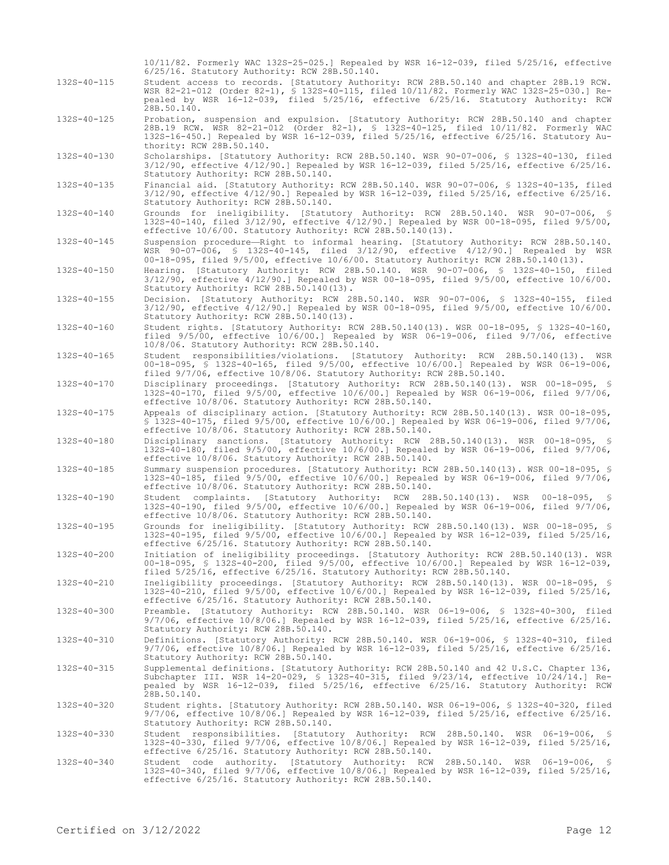|                   | $10/11/82$ . Formerly WAC 132S-25-025.] Repealed by WSR 16-12-039, filed 5/25/16, effective<br>6/25/16. Statutory Authority: RCW 28B.50.140.                                                                                                                                                         |
|-------------------|------------------------------------------------------------------------------------------------------------------------------------------------------------------------------------------------------------------------------------------------------------------------------------------------------|
| $132S - 40 - 115$ | Student access to records. [Statutory Authority: RCW 28B.50.140 and chapter 28B.19 RCW.<br>WSR 82-21-012 (Order 82-1), \$ 132S-40-115, filed 10/11/82. Formerly WAC 132S-25-030.] Re-<br>pealed by WSR 16-12-039, filed 5/25/16, effective 6/25/16. Statutory Authority: RCW<br>28B.50.140.          |
| 132S-40-125       | Probation, suspension and expulsion. [Statutory Authority: RCW 28B.50.140 and chapter<br>28B.19 RCW. WSR 82-21-012 (Order 82-1), § 132S-40-125, filed 10/11/82. Formerly WAC<br>132S-16-450.] Repealed by WSR 16-12-039, filed 5/25/16, effective 6/25/16. Statutory Au-<br>thority: RCW 28B.50.140. |
| 132S-40-130       | Scholarships. [Statutory Authority: RCW 28B.50.140. WSR 90-07-006, § 132S-40-130, filed<br>$3/12/90$ , effective $4/12/90$ .] Repealed by WSR 16-12-039, filed $5/25/16$ , effective $6/25/16$ .<br>Statutory Authority: RCW 28B.50.140.                                                             |
| 132S-40-135       | Financial aid. [Statutory Authority: RCW 28B.50.140. WSR 90-07-006, § 132S-40-135, filed<br>$3/12/90$ , effective $4/12/90$ .] Repealed by WSR 16-12-039, filed $5/25/16$ , effective $6/25/16$ .<br>Statutory Authority: RCW 28B.50.140.                                                            |
| 132S-40-140       | Grounds for ineligibility. [Statutory Authority: RCW 28B.50.140. WSR 90-07-006, §<br>132S-40-140, filed 3/12/90, effective 4/12/90.] Repealed by WSR 00-18-095, filed 9/5/00,<br>effective 10/6/00. Statutory Authority: RCW 28B.50.140(13).                                                         |
| 132S-40-145       | Suspension procedure-Right to informal hearing. [Statutory Authority: RCW 28B.50.140.<br>WSR 90-07-006, S 132S-40-145, filed 3/12/90, effective 4/12/90.] Repealed by WSR<br>00-18-095, filed $9/5/00$ , effective $10/6/00$ . Statutory Authority: RCW 28B.50.140(13).                              |
| 132S-40-150       | Hearing. [Statutory Authority: RCW 28B.50.140. WSR 90-07-006, § 132S-40-150, filed<br>$3/12/90$ , effective $4/12/90$ .] Repealed by WSR 00-18-095, filed $9/5/00$ , effective $10/6/00$ .<br>Statutory Authority: RCW 28B.50.140(13).                                                               |
| $132S - 40 - 155$ | Decision. [Statutory Authority: RCW 28B.50.140. WSR 90-07-006, § 132S-40-155, filed<br>$3/12/90$ , effective $4/12/90.$ ] Repealed by WSR 00-18-095, filed $9/5/00$ , effective $10/6/00.$<br>Statutory Authority: RCW 28B.50.140(13).                                                               |
| $132S - 40 - 160$ | Student rights. [Statutory Authority: RCW 28B.50.140(13). WSR 00-18-095, § 132S-40-160,<br>filed $9/5/00$ , effective $10/6/00$ .] Repealed by WSR 06-19-006, filed $9/7/06$ , effective<br>10/8/06. Statutory Authority: RCW 28B.50.140.                                                            |
| 132S-40-165       | Student responsibilities/violations. [Statutory Authority: RCW 28B.50.140(13). WSR<br>00-18-095, \$ 1325-40-165, filed 9/5/00, effective 10/6/00.] Repealed by WSR 06-19-006,<br>filed 9/7/06, effective 10/8/06. Statutory Authority: RCW 28B.50.140.                                               |
| 132S-40-170       | Disciplinary proceedings. [Statutory Authority: RCW 28B.50.140(13). WSR 00-18-095, §<br>132S-40-170, filed 9/5/00, effective 10/6/00.] Repealed by WSR 06-19-006, filed 9/7/06,<br>effective 10/8/06. Statutory Authority: RCW 28B.50.140.                                                           |
| $132S - 40 - 175$ | Appeals of disciplinary action. [Statutory Authority: RCW 28B.50.140(13). WSR 00-18-095,<br>$$132S-40-175$ , filed $9/5/00$ , effective 10/6/00.] Repealed by WSR 06-19-006, filed $9/7/06$ ,<br>effective 10/8/06. Statutory Authority: RCW 28B.50.140.                                             |
| 132S-40-180       | Disciplinary sanctions. [Statutory Authority: RCW 28B.50.140(13). WSR 00-18-095, §<br>132S-40-180, filed 9/5/00, effective 10/6/00.] Repealed by WSR 06-19-006, filed 9/7/06,<br>effective 10/8/06. Statutory Authority: RCW 28B.50.140.                                                             |
| 132S-40-185       | Summary suspension procedures. [Statutory Authority: RCW 28B.50.140(13). WSR 00-18-095, §<br>132S-40-185, filed 9/5/00, effective 10/6/00.] Repealed by WSR 06-19-006, filed 9/7/06,<br>effective 10/8/06. Statutory Authority: RCW 28B.50.140.                                                      |
| 132S-40-190       | Student complaints. [Statutory Authority: RCW 28B.50.140(13). WSR 00-18-095, §<br>132S-40-190, filed 9/5/00, effective 10/6/00.] Repealed by WSR 06-19-006, filed 9/7/06,<br>effective 10/8/06. Statutory Authority: RCW 28B.50.140.                                                                 |
| 132S-40-195       | Grounds for ineligibility. [Statutory Authority: RCW 28B.50.140(13). WSR 00-18-095, §<br>132S-40-195, filed 9/5/00, effective 10/6/00.] Repealed by WSR 16-12-039, filed 5/25/16,<br>effective 6/25/16. Statutory Authority: RCW 28B.50.140.                                                         |
| 132S-40-200       | Initiation of ineligibility proceedings. [Statutory Authority: RCW 28B.50.140(13). WSR<br>00-18-095, § 132S-40-200, filed 9/5/00, effective 10/6/00.] Repealed by WSR 16-12-039,<br>filed 5/25/16, effective 6/25/16. Statutory Authority: RCW 28B.50.140.                                           |
| 132S-40-210       | Ineligibility proceedings. [Statutory Authority: RCW 28B.50.140(13). WSR 00-18-095, \$<br>132S-40-210, filed 9/5/00, effective 10/6/00.] Repealed by WSR 16-12-039, filed 5/25/16,<br>effective 6/25/16. Statutory Authority: RCW 28B.50.140.                                                        |
| 132S-40-300       | Preamble. [Statutory Authority: RCW 28B.50.140. WSR 06-19-006, § 132S-40-300, filed<br>$9/7/06$ , effective $10/8/06$ .] Repealed by WSR 16-12-039, filed 5/25/16, effective 6/25/16.<br>Statutory Authority: RCW 28B.50.140.                                                                        |
| 132S-40-310       | Definitions. [Statutory Authority: RCW 28B.50.140. WSR 06-19-006, § 132S-40-310, filed<br>9/7/06, effective 10/8/06.] Repealed by WSR 16-12-039, filed 5/25/16, effective 6/25/16.<br>Statutory Authority: RCW 28B.50.140.                                                                           |
| 132S-40-315       | Supplemental definitions. [Statutory Authority: RCW 28B.50.140 and 42 U.S.C. Chapter 136,<br>Subchapter III. WSR 14-20-029, § 132S-40-315, filed 9/23/14, effective 10/24/14.] Re-<br>pealed by WSR 16-12-039, filed 5/25/16, effective 6/25/16. Statutory Authority: RCW<br>28B.50.140.             |
| 132S-40-320       | Student rights. [Statutory Authority: RCW 28B.50.140. WSR 06-19-006, § 132S-40-320, filed<br>9/7/06, effective 10/8/06.] Repealed by WSR 16-12-039, filed 5/25/16, effective 6/25/16.<br>Statutory Authority: RCW 28B.50.140.                                                                        |
| 132S-40-330       | Student responsibilities. [Statutory Authority: RCW 28B.50.140. WSR 06-19-006, §<br>132S-40-330, filed 9/7/06, effective 10/8/06.] Repealed by WSR 16-12-039, filed 5/25/16,<br>effective 6/25/16. Statutory Authority: RCW 28B.50.140.                                                              |
| 132S-40-340       | Student code authority. [Statutory Authority: RCW 28B.50.140. WSR 06-19-006, \$<br>132S-40-340, filed 9/7/06, effective 10/8/06.] Repealed by WSR 16-12-039, filed 5/25/16,<br>effective 6/25/16. Statutory Authority: RCW 28B.50.140.                                                               |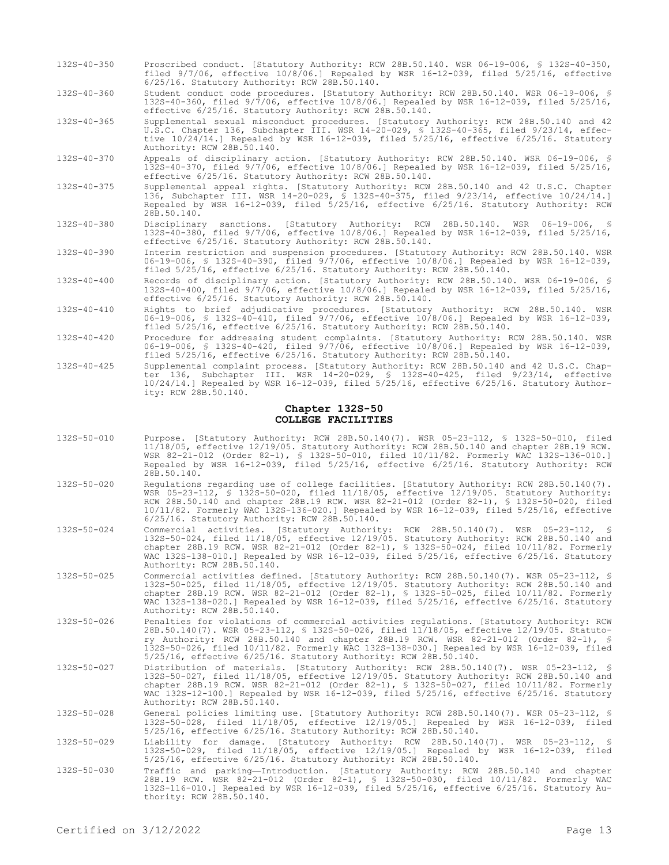- 132S-40-350 Proscribed conduct. [Statutory Authority: RCW 28B.50.140. WSR 06-19-006, § 132S-40-350, filed 9/7/06, effective 10/8/06.] Repealed by WSR 16-12-039, filed 5/25/16, effective 6/25/16. Statutory Authority: RCW 28B.50.140.
- 132S-40-360 Student conduct code procedures. [Statutory Authority: RCW 28B.50.140. WSR 06-19-006, § 132S-40-360, filed 9/7/06, effective 10/8/06.] Repealed by WSR 16-12-039, filed 5/25/16, effective 6/25/16. Statutory Authority: RCW 28B.50.140.

132S-40-365 Supplemental sexual misconduct procedures. [Statutory Authority: RCW 28B.50.140 and 42 U.S.C. Chapter 136, Subchapter III. WSR 14-20-029, § 132S-40-365, filed 9/23/14, effective 10/24/14.] Repealed by WSR 16-12-039, filed 5/25/16, effective 6/25/16. Statutory Authority: RCW 28B.50.140.

- 132S-40-370 Appeals of disciplinary action. [Statutory Authority: RCW 28B.50.140. WSR 06-19-006, § 132S-40-370, filed 9/7/06, effective 10/8/06.] Repealed by WSR 16-12-039, filed 5/25/16, effective 6/25/16. Statutory Authority: RCW 28B.50.140.
- 132S-40-375 Supplemental appeal rights. [Statutory Authority: RCW 28B.50.140 and 42 U.S.C. Chapter 136, Subchapter III. WSR 14-20-029, § 132S-40-375, filed 9/23/14, effective 10/24/14.] Repealed by WSR 16-12-039, filed 5/25/16, effective 6/25/16. Statutory Authority: RCW 28B.50.140.
- 132S-40-380 Disciplinary sanctions. [Statutory Authority: RCW 28B.50.140. WSR 06-19-006, § 132S-40-380, filed 9/7/06, effective 10/8/06.] Repealed by WSR 16-12-039, filed 5/25/16, effective 6/25/16. Statutory Authority: RCW 28B.50.140.
- 132S-40-390 Interim restriction and suspension procedures. [Statutory Authority: RCW 28B.50.140. WSR 06-19-006, § 132S-40-390, filed 9/7/06, effective 10/8/06.] Repealed by WSR 16-12-039, filed 5/25/16, effective 6/25/16. Statutory Authority: RCW 28B.50.140.
- 132S-40-400 Records of disciplinary action. [Statutory Authority: RCW 28B.50.140. WSR 06-19-006, § 132S-40-400, filed 9/7/06, effective 10/8/06.] Repealed by WSR 16-12-039, filed 5/25/16, effective 6/25/16. Statutory Authority: RCW 28B.50.140.
- 132S-40-410 Rights to brief adjudicative procedures. [Statutory Authority: RCW 28B.50.140. WSR 06-19-006, § 132S-40-410, filed 9/7/06, effective 10/8/06.] Repealed by WSR 16-12-039, filed 5/25/16, effective 6/25/16. Statutory Authority: RCW 28B.50.140.
- 132S-40-420 Procedure for addressing student complaints. [Statutory Authority: RCW 28B.50.140. WSR 06-19-006, § 132S-40-420, filed 9/7/06, effective 10/8/06.] Repealed by WSR 16-12-039, filed 5/25/16, effective 6/25/16. Statutory Authority: RCW 28B.50.140.
- 132S-40-425 Supplemental complaint process. [Statutory Authority: RCW 28B.50.140 and 42 U.S.C. Chapter 136, Subchapter III. WSR 14-20-029, § 132S-40-425, filed 9/23/14, effective 10/24/14.] Repealed by WSR 16-12-039, filed 5/25/16, effective 6/25/16. Statutory Authority: RCW 28B.50.140.

#### **Chapter 132S-50 COLLEGE FACILITIES**

- 132S-50-010 Purpose. [Statutory Authority: RCW 28B.50.140(7). WSR 05-23-112, § 132S-50-010, filed 11/18/05, effective 12/19/05. Statutory Authority: RCW 28B.50.140 and chapter 28B.19 RCW. WSR 82-21-012 (Order 82-1), § 132S-50-010, filed 10/11/82. Formerly WAC 132S-136-010.] Repealed by WSR 16-12-039, filed 5/25/16, effective 6/25/16. Statutory Authority: RCW 28B.50.140.
- 132S-50-020 Regulations regarding use of college facilities. [Statutory Authority: RCW 28B.50.140(7). WSR 05-23-112, § 132S-50-020, filed 11/18/05, effective 12/19/05. Statutory Authority: RCW 28B.50.140 and chapter 28B.19 RCW. WSR 82-21-012 (Order 82-1), § 132S-50-020, filed 10/11/82. Formerly WAC 132S-136-020.] Repealed by WSR 16-12-039, filed 5/25/16, effective 6/25/16. Statutory Authority: RCW 28B.50.140.
- 132S-50-024 Commercial activities. [Statutory Authority: RCW 28B.50.140(7). WSR 05-23-112, § 132S-50-024, filed 11/18/05, effective 12/19/05. Statutory Authority: RCW 28B.50.140 and chapter 28B.19 RCW. WSR 82-21-012 (Order 82-1), § 132S-50-024, filed 10/11/82. Formerly WAC 132S-138-010.] Repealed by WSR 16-12-039, filed 5/25/16, effective 6/25/16. Statutory Authority: RCW 28B.50.140.
- 132S-50-025 Commercial activities defined. [Statutory Authority: RCW 28B.50.140(7). WSR 05-23-112, § 132S-50-025, filed 11/18/05, effective 12/19/05. Statutory Authority: RCW 28B.50.140 and chapter 28B.19 RCW. WSR 82-21-012 (Order 82-1), § 132S-50-025, filed 10/11/82. Formerly WAC 132S-138-020.] Repealed by WSR 16-12-039, filed 5/25/16, effective 6/25/16. Statutory Authority: RCW 28B.50.140.
- 132S-50-026 Penalties for violations of commercial activities regulations. [Statutory Authority: RCW 28B.50.140(7). WSR 05-23-112, § 132S-50-026, filed 11/18/05, effective 12/19/05. Statutory Authority: RCW 28B.50.140 and chapter 28B.19 RCW. WSR 82-21-012 (Order 82-1), § 132S-50-026, filed 10/11/82. Formerly WAC 132S-138-030.] Repealed by WSR 16-12-039, filed 5/25/16, effective 6/25/16. Statutory Authority: RCW 28B.50.140.
- 132S-50-027 Distribution of materials. [Statutory Authority: RCW 28B.50.140(7). WSR 05-23-112, § 132S-50-027, filed 11/18/05, effective 12/19/05. Statutory Authority: RCW 28B.50.140 and chapter 28B.19 RCW. WSR 82-21-012 (Order 82-1), § 132S-50-027, filed 10/11/82. Formerly WAC 132S-12-100.] Repealed by WSR 16-12-039, filed 5/25/16, effective 6/25/16. Statutory Authority: RCW 28B.50.140.
- 132S-50-028 General policies limiting use. [Statutory Authority: RCW 28B.50.140(7). WSR 05-23-112, \$<br>132S-50-028, filed 11/18/05, effective 12/19/05.] Repealed by WSR 16-12-039, filed<br>5/25/16, effective 6/25/16. Statutory
- 132S-50-029 Liability for damage. [Statutory Authority: RCW 28B.50.140(7). WSR 05-23-112, § 132S-50-029, filed 11/18/05, effective 12/19/05.] Repealed by WSR 16-12-039, filed 5/25/16, effective 6/25/16. Statutory Authority: RCW 28B.50.140.
- 132S-50-030 Traffic and parking—Introduction. [Statutory Authority: RCW 28B.50.140 and chapter 28B.19 RCW. WSR 82-21-012 (Order 82-1), § 132S-50-030, filed 10/11/82. Formerly WAC 132S-116-010.] Repealed by WSR 16-12-039, filed 5/25/16, effective 6/25/16. Statutory Authority: RCW 28B.50.140.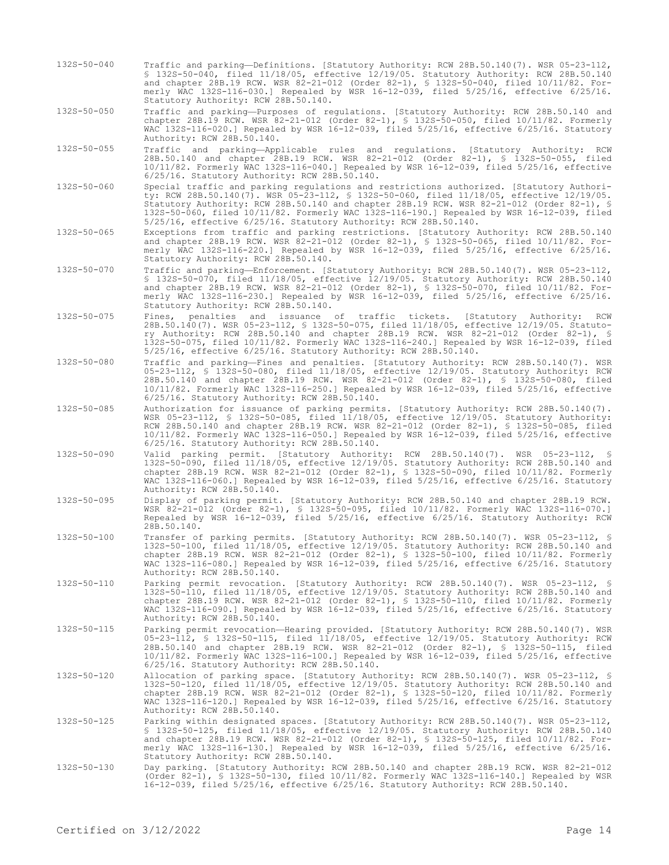132S-50-040 Traffic and parking—Definitions. [Statutory Authority: RCW 28B.50.140(7). WSR 05-23-112, § 132S-50-040, filed 11/18/05, effective 12/19/05. Statutory Authority: RCW 28B.50.140 and chapter 28B.19 RCW. WSR 82-21-012 (Order 82-1), § 132S-50-040, filed 10/11/82. Formerly WAC 132S-116-030.] Repealed by WSR 16-12-039, filed 5/25/16, effective 6/25/16. Statutory Authority: RCW 28B.50.140.

132S-50-050 Traffic and parking—Purposes of regulations. [Statutory Authority: RCW 28B.50.140 and chapter 28B.19 RCW. WSR 82-21-012 (Order 82-1), § 132S-50-050, filed 10/11/82. Formerly WAC 132S-116-020.] Repealed by WSR 16-12-039, filed 5/25/16, effective 6/25/16. Statutory Authority: RCW 28B.50.140.

132S-50-055 Traffic and parking—Applicable rules and regulations. [Statutory Authority: RCW 28B.50.140 and chapter 28B.19 RCW. WSR 82-21-012 (Order 82-1), § 132S-50-055, filed 10/11/82. Formerly WAC 132S-116-040.] Repealed by WSR 16-12-039, filed 5/25/16, effective 6/25/16. Statutory Authority: RCW 28B.50.140.

132S-50-060 Special traffic and parking regulations and restrictions authorized. [Statutory Authority: RCW 28B.50.140(7). WSR 05-23-112, § 132S-50-060, filed 11/18/05, effective 12/19/05. Statutory Authority: RCW 28B.50.140 and chapter 28B.19 RCW. WSR 82-21-012 (Order 82-1), § 132S-50-060, filed 10/11/82. Formerly WAC 132S-116-190.] Repealed by WSR 16-12-039, filed 5/25/16, effective 6/25/16. Statutory Authority: RCW 28B.50.140.

132S-50-065 Exceptions from traffic and parking restrictions. [Statutory Authority: RCW 28B.50.140 and chapter 28B.19 RCW. WSR 82-21-012 (Order 82-1), § 132S-50-065, filed 10/11/82. Formerly WAC 132S-116-220.] Repealed by WSR 16-12-039, filed 5/25/16, effective 6/25/16. Statutory Authority: RCW 28B.50.140.

132S-50-070 Traffic and parking—Enforcement. [Statutory Authority: RCW 28B.50.140(7). WSR 05-23-112, § 132S-50-070, filed 11/18/05, effective 12/19/05. Statutory Authority: RCW 28B.50.140 and chapter 28B.19 RCW. WSR 82-21-012 (Order 82-1), § 132S-50-070, filed 10/11/82. Formerly WAC 132S-116-230.] Repealed by WSR 16-12-039, filed 5/25/16, effective 6/25/16. Statutory Authority: RCW 28B.50.140.

132S-50-075 Fines, penalties and issuance of traffic tickets. [Statutory Authority: RCW 28B.50.140(7). WSR 05-23-112, § 132S-50-075, filed 11/18/05, effective 12/19/05. Statutory Authority: RCW 28B.50.140 and chapter 28B.19 RCW. WSR 82-21-012 (Order 82-1), § 132S-50-075, filed 10/11/82. Formerly WAC 132S-116-240.] Repealed by WSR 16-12-039, filed 5/25/16, effective 6/25/16. Statutory Authority: RCW 28B.50.140.

132S-50-080 Traffic and parking—Fines and penalties. [Statutory Authority: RCW 28B.50.140(7). WSR 05-23-112, § 132S-50-080, filed 11/18/05, effective 12/19/05. Statutory Authority: RCW 28B.50.140 and chapter 28B.19 RCW. WSR 82-21-012 (Order 82-1), § 132S-50-080, filed 10/11/82. Formerly WAC 132S-116-250.] Repealed by WSR 16-12-039, filed 5/25/16, effective 6/25/16. Statutory Authority: RCW 28B.50.140.

132S-50-085 Authorization for issuance of parking permits. [Statutory Authority: RCW 28B.50.140(7). WSR 05-23-112, § 132S-50-085, filed 11/18/05, effective 12/19/05. Statutory Authority: RCW 28B.50.140 and chapter 28B.19 RCW. WSR 82-21-012 (Order 82-1), § 132S-50-085, filed 10/11/82. Formerly WAC 132S-116-050.] Repealed by WSR 16-12-039, filed 5/25/16, effective 6/25/16. Statutory Authority: RCW 28B.50.140.

- 132S-50-090 Valid parking permit. [Statutory Authority: RCW 28B.50.140(7). WSR 05-23-112, § 132S-50-090, filed 11/18/05, effective 12/19/05. Statutory Authority: RCW 28B.50.140 and chapter 28B.19 RCW. WSR 82-21-012 (Order 82-1), § 132S-50-090, filed 10/11/82. Formerly WAC 132S-116-060.] Repealed by WSR 16-12-039, filed 5/25/16, effective 6/25/16. Statutory Authority: RCW 28B.50.140.
- 132S-50-095 Display of parking permit. [Statutory Authority: RCW 28B.50.140 and chapter 28B.19 RCW. WSR 82-21-012 (Order 82-1), § 132S-50-095, filed 10/11/82. Formerly WAC 132S-116-070.] Repealed by WSR 16-12-039, filed 5/25/16, effective 6/25/16. Statutory Authority: RCW 28B.50.140.
- 132S-50-100 Transfer of parking permits. [Statutory Authority: RCW 28B.50.140(7). WSR 05-23-112, § 132S-50-100, filed 11/18/05, effective 12/19/05. Statutory Authority: RCW 28B.50.140 and chapter 28B.19 RCW. WSR 82-21-012 (Order 82-1), § 132S-50-100, filed 10/11/82. Formerly WAC 132S-116-080.] Repealed by WSR 16-12-039, filed 5/25/16, effective 6/25/16. Statutory Authority: RCW 28B.50.140.
- 132S-50-110 Parking permit revocation. [Statutory Authority: RCW 28B.50.140(7). WSR 05-23-112, § 132S-50-110, filed 11/18/05, effective 12/19/05. Statutory Authority: RCW 28B.50.140 and chapter 28B.19 RCW. WSR 82-21-012 (Order 82-1), § 132S-50-110, filed 10/11/82. Formerly WAC 132S-116-090.] Repealed by WSR 16-12-039, filed 5/25/16, effective 6/25/16. Statutory Authority: RCW 28B.50.140.
- 132S-50-115 Parking permit revocation—Hearing provided. [Statutory Authority: RCW 28B.50.140(7). WSR 05-23-112, § 132S-50-115, filed 11/18/05, effective 12/19/05. Statutory Authority: RCW 28B.50.140 and chapter 28B.19 RCW. WSR 82-21-012 (Order 82-1), § 132S-50-115, filed 10/11/82. Formerly WAC 132S-116-100.] Repealed by WSR 16-12-039, filed 5/25/16, effective 6/25/16. Statutory Authority: RCW 28B.50.140.
- 132S-50-120 Allocation of parking space. [Statutory Authority: RCW 28B.50.140(7). WSR 05-23-112, § 132S-50-120, filed 11/18/05, effective 12/19/05. Statutory Authority: RCW 28B.50.140 and chapter 28B.19 RCW. WSR 82-21-012 (Order 82-1), § 132S-50-120, filed 10/11/82. Formerly WAC 132S-116-120.] Repealed by WSR 16-12-039, filed 5/25/16, effective 6/25/16. Statutory Authority: RCW 28B.50.140.
- 132S-50-125 Parking within designated spaces. [Statutory Authority: RCW 28B.50.140(7). WSR 05-23-112, § 132S-50-125, filed 11/18/05, effective 12/19/05. Statutory Authority: RCW 28B.50.140 and chapter 28B.19 RCW. WSR 82-21-012 (Order 82-1), § 132S-50-125, filed 10/11/82. Formerly WAC 132S-116-130.] Repealed by WSR 16-12-039, filed 5/25/16, effective 6/25/16. Statutory Authority: RCW 28B.50.140.
- 132S-50-130 Day parking. [Statutory Authority: RCW 28B.50.140 and chapter 28B.19 RCW. WSR 82-21-012 (Order 82-1), § 132S-50-130, filed 10/11/82. Formerly WAC 132S-116-140.] Repealed by WSR 16-12-039, filed 5/25/16, effective 6/25/16. Statutory Authority: RCW 28B.50.140.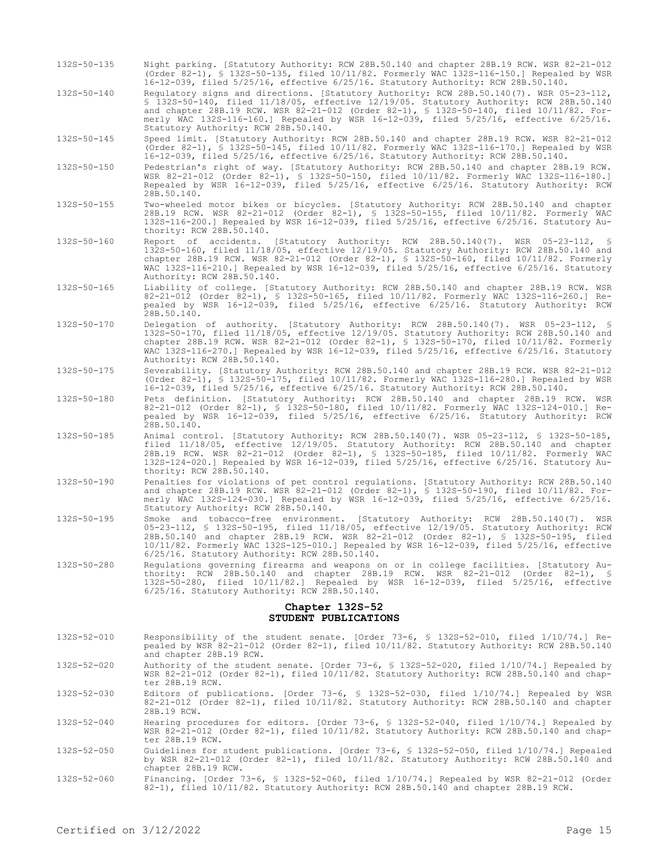- 132S-50-135 Night parking. [Statutory Authority: RCW 28B.50.140 and chapter 28B.19 RCW. WSR 82-21-012 (Order 82-1), § 132S-50-135, filed 10/11/82. Formerly WAC 132S-116-150.] Repealed by WSR 16-12-039, filed 5/25/16, effective 6/25/16. Statutory Authority: RCW 28B.50.140.
- 132S-50-140 Regulatory signs and directions. [Statutory Authority: RCW 28B.50.140(7). WSR 05-23-112, § 132S-50-140, filed 11/18/05, effective 12/19/05. Statutory Authority: RCW 28B.50.140 and chapter 28B.19 RCW. WSR 82-21-012 (Order 82-1), § 132S-50-140, filed 10/11/82. Formerly WAC 132S-116-160.] Repealed by WSR 16-12-039, filed 5/25/16, effective 6/25/16. Statutory Authority: RCW 28B.50.140.

132S-50-145 Speed limit. [Statutory Authority: RCW 28B.50.140 and chapter 28B.19 RCW. WSR 82-21-012 (Order 82-1), § 132S-50-145, filed 10/11/82. Formerly WAC 132S-116-170.] Repealed by WSR 16-12-039, filed 5/25/16, effective 6/25/16. Statutory Authority: RCW 28B.50.140.

- 132S-50-150 Pedestrian's right of way. [Statutory Authority: RCW 28B.50.140 and chapter 28B.19 RCW. WSR 82-21-012 (Order 82-1), § 132S-50-150, filed 10/11/82. Formerly WAC 132S-116-180.] Repealed by WSR 16-12-039, filed 5/25/16, effective 6/25/16. Statutory Authority: RCW 28B.50.140.
- 132S-50-155 Two-wheeled motor bikes or bicycles. [Statutory Authority: RCW 28B.50.140 and chapter 28B.19 RCW. WSR 82-21-012 (Order 82-1), § 132S-50-155, filed 10/11/82. Formerly WAC 132S-116-200.] Repealed by WSR 16-12-039, filed 5/25/16, effective 6/25/16. Statutory Au-
- thority: RCW 28B.50.140.<br>Report of accidents. 132S-50-160 Report of accidents. [Statutory Authority: RCW 28B.50.140(7). WSR 05-23-112, § 132S-50-160, filed 11/18/05, effective 12/19/05. Statutory Authority: RCW 28B.50.140 and chapter 28B.19 RCW. WSR 82-21-012 (Order 82-1), § 132S-50-160, filed 10/11/82. Formerly WAC 132S-116-210.] Repealed by WSR 16-12-039, filed 5/25/16, effective 6/25/16. Statutory Authority: RCW 28B.50.140.
- 132S-50-165 Liability of college. [Statutory Authority: RCW 28B.50.140 and chapter 28B.19 RCW. WSR 82-21-012 (Order 82-1), § 132S-50-165, filed 10/11/82. Formerly WAC 132S-116-260.] Repealed by WSR 16-12-039, filed 5/25/16, effective 6/25/16. Statutory Authority: RCW 28B.50.140.
- 132S-50-170 Delegation of authority. [Statutory Authority: RCW 28B.50.140(7). WSR 05-23-112, § 132S-50-170, filed 11/18/05, effective 12/19/05. Statutory Authority: RCW 28B.50.140 and chapter 28B.19 RCW. WSR 82-21-012 (Order 82-1), § 132S-50-170, filed 10/11/82. Formerly WAC 132S-116-270.] Repealed by WSR 16-12-039, filed 5/25/16, effective 6/25/16. Statutory Authority: RCW 28B.50.140.
- 132S-50-175 Severability. [Statutory Authority: RCW 28B.50.140 and chapter 28B.19 RCW. WSR 82-21-012 (Order 82-1), § 132S-50-175, filed 10/11/82. Formerly WAC 132S-116-280.] Repealed by WSR 16-12-039, filed 5/25/16, effective 6/25/16. Statutory Authority: RCW 28B.50.140.
- 132S-50-180 Pets definition. [Statutory Authority: RCW 28B.50.140 and chapter 28B.19 RCW. WSR 82-21-012 (Order 82-1), § 132S-50-180, filed 10/11/82. Formerly WAC 132S-124-010.] Repealed by WSR 16-12-039, filed 5/25/16, effective 6/25/16. Statutory Authority: RCW 28B.50.140.
- 132S-50-185 Animal control. [Statutory Authority: RCW 28B.50.140(7). WSR 05-23-112, § 132S-50-185, filed 11/18/05, effective 12/19/05. Statutory Authority: RCW 28B.50.140 and chapter 28B.19 RCW. WSR 82-21-012 (Order 82-1), § 132S-50-185, filed 10/11/82. Formerly WAC 132S-124-020.] Repealed by WSR 16-12-039, filed 5/25/16, effective 6/25/16. Statutory Authority: RCW 28B.50.140.
- 132S-50-190 Penalties for violations of pet control regulations. [Statutory Authority: RCW 28B.50.140 and chapter 28B.19 RCW. WSR 82-21-012 (Order 82-1), § 132S-50-190, filed 10/11/82. Formerly WAC 132S-124-030.] Repealed by WSR 16-12-039, filed 5/25/16, effective 6/25/16. Statutory Authority: RCW 28B.50.140.
- 132S-50-195 Smoke and tobacco-free environment. [Statutory Authority: RCW 28B.50.140(7). WSR 05-23-112, § 132S-50-195, filed 11/18/05, effective 12/19/05. Statutory Authority: RCW 28B.50.140 and chapter 28B.19 RCW. WSR 82-21-012 (Order 82-1), § 132S-50-195, filed 10/11/82. Formerly WAC 132S-125-010.] Repealed by WSR 16-12-039, filed 5/25/16, effective 6/25/16. Statutory Authority: RCW 28B.50.140.
- 132S-50-280 Regulations governing firearms and weapons on or in college facilities. [Statutory Authority: RCW 28B.50.140 and chapter 28B.19 RCW. WSR 82-21-012 (Order 82-1), § 132S-50-280, filed 10/11/82.] Repealed by WSR 16-12-039, filed 5/25/16, effective 6/25/16. Statutory Authority: RCW 28B.50.140.

# **Chapter 132S-52 STUDENT PUBLICATIONS**

- 132S-52-010 Responsibility of the student senate. [Order 73-6, § 132S-52-010, filed 1/10/74.] Repealed by WSR 82-21-012 (Order 82-1), filed 10/11/82. Statutory Authority: RCW 28B.50.140 and chapter 28B.19 RCW.
- 132S-52-020 Authority of the student senate. [Order 73-6, § 132S-52-020, filed 1/10/74.] Repealed by WSR 82-21-012 (Order 82-1), filed 10/11/82. Statutory Authority: RCW 28B.50.140 and chapter 28B.19 RCW.
- 132S-52-030 Editors of publications. [Order 73-6, § 132S-52-030, filed 1/10/74.] Repealed by WSR 82-21-012 (Order 82-1), filed 10/11/82. Statutory Authority: RCW 28B.50.140 and chapter 28B.19 RCW.
- 132S-52-040 Hearing procedures for editors. [Order 73-6, § 132S-52-040, filed 1/10/74.] Repealed by WSR 82-21-012 (Order 82-1), filed 10/11/82. Statutory Authority: RCW 28B.50.140 and chapter 28B.19 RCW.
- 132S-52-050 Guidelines for student publications. [Order 73-6, § 132S-52-050, filed 1/10/74.] Repealed by WSR 82-21-012 (Order 82-1), filed 10/11/82. Statutory Authority: RCW 28B.50.140 and chapter 28B.19 RCW.
- 132S-52-060 Financing. [Order 73-6, § 132S-52-060, filed 1/10/74.] Repealed by WSR 82-21-012 (Order 82-1), filed 10/11/82. Statutory Authority: RCW 28B.50.140 and chapter 28B.19 RCW.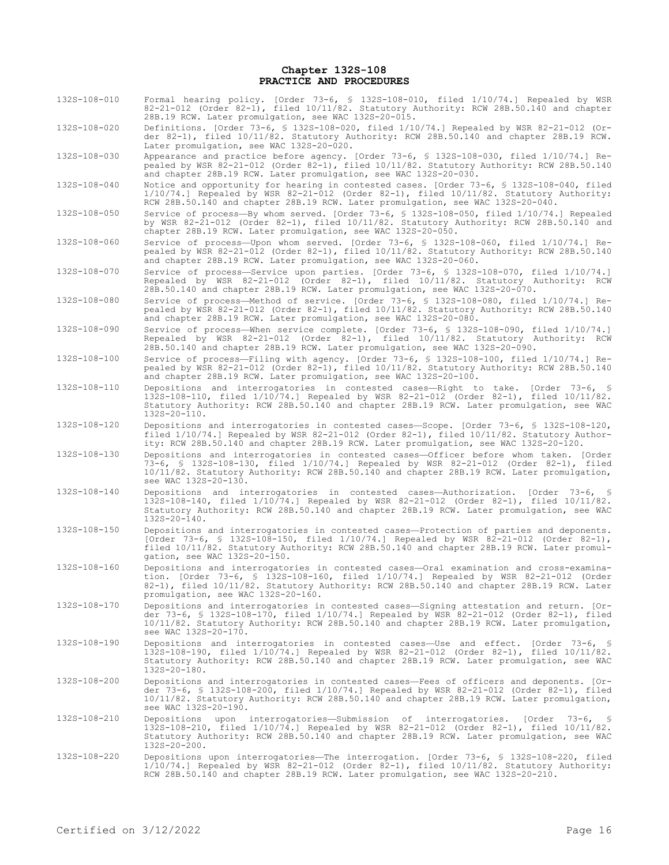#### **Chapter 132S-108 PRACTICE AND PROCEDURES**

- 132S-108-010 Formal hearing policy. [Order 73-6, § 132S-108-010, filed 1/10/74.] Repealed by WSR 82-21-012 (Order 82-1), filed 10/11/82. Statutory Authority: RCW 28B.50.140 and chapter 28B.19 RCW. Later promulgation, see WAC 132S-20-015.
- 132S-108-020 Definitions. [Order 73-6, § 132S-108-020, filed 1/10/74.] Repealed by WSR 82-21-012 (Order 82-1), filed 10/11/82. Statutory Authority: RCW 28B.50.140 and chapter 28B.19 RCW. Later promulgation, see WAC 132S-20-020.
- 132S-108-030 Appearance and practice before agency. [Order 73-6, § 132S-108-030, filed 1/10/74.] Repealed by WSR 82-21-012 (Order 82-1), filed 10/11/82. Statutory Authority: RCW 28B.50.140 and chapter 28B.19 RCW. Later promulgation, see WAC 132S-20-030.
- 132S-108-040 Notice and opportunity for hearing in contested cases. [Order 73-6, § 132S-108-040, filed 1/10/74.] Repealed by WSR 82-21-012 (Order 82-1), filed 10/11/82. Statutory Authority: RCW 28B.50.140 and chapter 28B.19 RCW. Later promulgation, see WAC 132S-20-040.
- 132S-108-050 Service of process—By whom served. [Order 73-6, § 132S-108-050, filed 1/10/74.] Repealed by WSR 82-21-012 (Order 82-1), filed 10/11/82. Statutory Authority: RCW 28B.50.140 and chapter 28B.19 RCW. Later promulgation, see WAC 132S-20-050.
- 132S-108-060 Service of process—Upon whom served. [Order 73-6, § 132S-108-060, filed 1/10/74.] Repealed by WSR 82-21-012 (Order 82-1), filed 10/11/82. Statutory Authority: RCW 28B.50.140 and chapter 28B.19 RCW. Later promulgation, see WAC 132S-20-060.
- 132S-108-070 Service of process—Service upon parties. [Order 73-6, § 132S-108-070, filed 1/10/74.] Repealed by WSR 82-21-012 (Order 82-1), filed 10/11/82. Statutory Authority: RCW 28B.50.140 and chapter 28B.19 RCW. Later promulgation, see WAC 132S-20-070.
- 132S-108-080 Service of process—Method of service. [Order 73-6, § 132S-108-080, filed 1/10/74.] Repealed by WSR 82-21-012 (Order 82-1), filed 10/11/82. Statutory Authority: RCW 28B.50.140 and chapter 28B.19 RCW. Later promulgation, see WAC 132S-20-080.
- 132S-108-090 Service of process—When service complete. [Order 73-6, § 132S-108-090, filed 1/10/74.] Repealed by WSR 82-21-012 (Order 82-1), filed 10/11/82. Statutory Authority: RCW 28B.50.140 and chapter 28B.19 RCW. Later promulgation, see WAC 132S-20-090.
- 132S-108-100 Service of process—Filing with agency. [Order 73-6, § 132S-108-100, filed 1/10/74.] Repealed by WSR 82-21-012 (Order 82-1), filed 10/11/82. Statutory Authority: RCW 28B.50.140 and chapter 28B.19 RCW. Later promulgation, see WAC 132S-20-100.
- 132S-108-110 Depositions and interrogatories in contested cases—Right to take. [Order 73-6, § 132S-108-110, filed 1/10/74.] Repealed by WSR 82-21-012 (Order 82-1), filed 10/11/82. Statutory Authority: RCW 28B.50.140 and chapter 28B.19 RCW. Later promulgation, see WAC 132S-20-110.
- 132S-108-120 Depositions and interrogatories in contested cases—Scope. [Order 73-6, § 132S-108-120, filed 1/10/74.] Repealed by WSR 82-21-012 (Order 82-1), filed 10/11/82. Statutory Authority: RCW 28B.50.140 and chapter 28B.19 RCW. Later promulgation, see WAC 132S-20-120.
- 132S-108-130 Depositions and interrogatories in contested cases—Officer before whom taken. [Order 73-6, § 132S-108-130, filed 1/10/74.] Repealed by WSR 82-21-012 (Order 82-1), filed 10/11/82. Statutory Authority: RCW 28B.50.140 and chapter 28B.19 RCW. Later promulgation, see WAC 132S-20-130.
- 132S-108-140 Depositions and interrogatories in contested cases—Authorization. [Order 73-6, § 132S-108-140, filed 1/10/74.] Repealed by WSR 82-21-012 (Order 82-1), filed 10/11/82. Statutory Authority: RCW 28B.50.140 and chapter 28B.19 RCW. Later promulgation, see WAC 132S-20-140.
- 132S-108-150 Depositions and interrogatories in contested cases—Protection of parties and deponents. [Order 73-6, § 132S-108-150, filed 1/10/74.] Repealed by WSR 82-21-012 (Order 82-1), filed 10/11/82. Statutory Authority: RCW 28B.50.140 and chapter 28B.19 RCW. Later promulgation, see WAC 132S-20-150.
- 132S-108-160 Depositions and interrogatories in contested cases—Oral examination and cross-examination. [Order 73-6, § 132S-108-160, filed 1/10/74.] Repealed by WSR 82-21-012 (Order 82-1), filed 10/11/82. Statutory Authority: RCW 28B.50.140 and chapter 28B.19 RCW. Later promulgation, see WAC 132S-20-160.
- 132S-108-170 Depositions and interrogatories in contested cases—Signing attestation and return. [Order 73-6, § 132S-108-170, filed 1/10/74.] Repealed by WSR 82-21-012 (Order 82-1), filed 10/11/82. Statutory Authority: RCW 28B.50.140 and chapter 28B.19 RCW. Later promulgation, see WAC 132S-20-170.
- 132S-108-190 Depositions and interrogatories in contested cases—Use and effect. [Order 73-6, § 132S-108-190, filed 1/10/74.] Repealed by WSR 82-21-012 (Order 82-1), filed 10/11/82. Statutory Authority: RCW 28B.50.140 and chapter 28B.19 RCW. Later promulgation, see WAC 132S-20-180.
- 132S-108-200 Depositions and interrogatories in contested cases—Fees of officers and deponents. [Order 73-6, § 132S-108-200, filed 1/10/74.] Repealed by WSR 82-21-012 (Order 82-1), filed 10/11/82. Statutory Authority: RCW 28B.50.140 and chapter 28B.19 RCW. Later promulgation, see WAC 132S-20-190.
- 132S-108-210 Depositions upon interrogatories—Submission of interrogatories. [Order 73-6, \$<br>132S-108-210, filed 1/10/74.] Repealed by WSR 82-21-012 (Order 82-1), filed 10/11/82.<br>Statutory Authority: RCW 28B.50.140 and chap  $132S - 20 - 200$ .
- 132S-108-220 Depositions upon interrogatories—The interrogation. [Order 73-6, § 132S-108-220, filed 1/10/74.] Repealed by WSR 82-21-012 (Order 82-1), filed 10/11/82. Statutory Authority: RCW 28B.50.140 and chapter 28B.19 RCW. Later promulgation, see WAC 132S-20-210.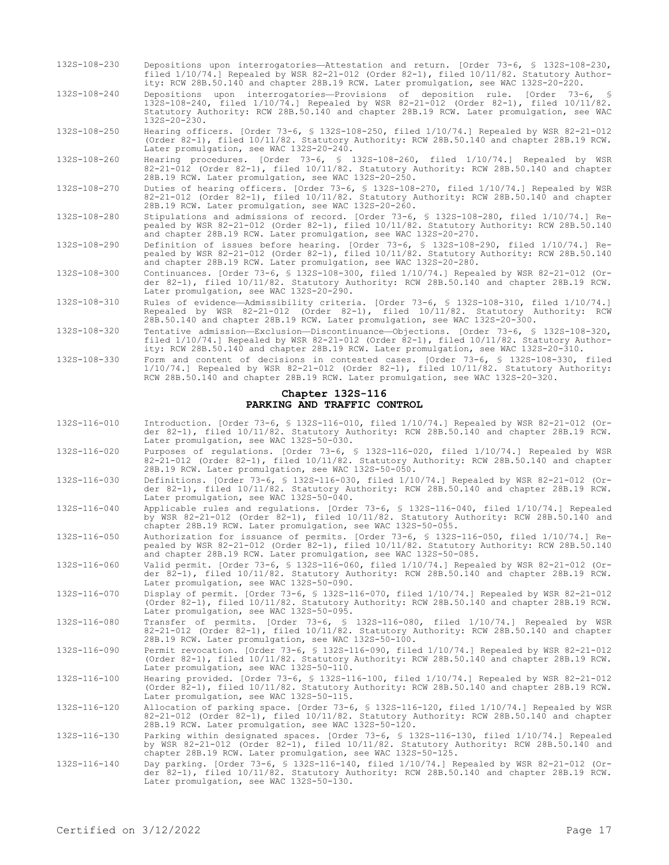- 132S-108-230 Depositions upon interrogatories—Attestation and return. [Order 73-6, § 132S-108-230, filed 1/10/74.] Repealed by WSR 82-21-012 (Order 82-1), filed 10/11/82. Statutory Authority: RCW 28B.50.140 and chapter 28B.19 RCW. Later promulgation, see WAC 132S-20-220.
- 132S-108-240 Depositions upon interrogatories—Provisions of deposition rule. [Order 73-6, § 132S-108-240, filed 1/10/74.] Repealed by WSR 82-21-012 (Order 82-1), filed 10/11/82. Statutory Authority: RCW 28B.50.140 and chapter 28B.19 RCW. Later promulgation, see WAC 132S-20-230.

132S-108-250 Hearing officers. [Order 73-6, § 132S-108-250, filed 1/10/74.] Repealed by WSR 82-21-012 (Order 82-1), filed 10/11/82. Statutory Authority: RCW 28B.50.140 and chapter 28B.19 RCW. Later promulgation, see WAC 132S-20-240.

132S-108-260 Hearing procedures. [Order 73-6, § 132S-108-260, filed 1/10/74.] Repealed by WSR 82-21-012 (Order 82-1), filed 10/11/82. Statutory Authority: RCW 28B.50.140 and chapter 28B.19 RCW. Later promulgation, see WAC 132S-20-250.

- 132S-108-270 Duties of hearing officers. [Order 73-6, § 132S-108-270, filed 1/10/74.] Repealed by WSR 82-21-012 (Order 82-1), filed 10/11/82. Statutory Authority: RCW 28B.50.140 and chapter 28B.19 RCW. Later promulgation, see WAC 132S-20-260.
- 132S-108-280 Stipulations and admissions of record. [Order 73-6, § 132S-108-280, filed 1/10/74.] Repealed by WSR 82-21-012 (Order 82-1), filed 10/11/82. Statutory Authority: RCW 28B.50.140 and chapter 28B.19 RCW. Later promulgation, see WAC 132S-20-270.

132S-108-290 Definition of issues before hearing. [Order 73-6, § 132S-108-290, filed 1/10/74.] Repealed by WSR 82-21-012 (Order 82-1), filed 10/11/82. Statutory Authority: RCW 28B.50.140 and chapter 28B.19 RCW. Later promulgation, see WAC 132S-20-280.

- 132S-108-300 Continuances. [Order 73-6, § 132S-108-300, filed 1/10/74.] Repealed by WSR 82-21-012 (Order 82-1), filed 10/11/82. Statutory Authority: RCW 28B.50.140 and chapter 28B.19 RCW. Later promulgation, see WAC 132S-20-290.
- 132S-108-310 Rules of evidence—Admissibility criteria. [Order 73-6, § 132S-108-310, filed 1/10/74.] Repealed by WSR 82-21-012 (Order 82-1), filed 10/11/82. Statutory Authority: RCW 28B.50.140 and chapter 28B.19 RCW. Later promulgation, see WAC 132S-20-300.
- 132S-108-320 Tentative admission—Exclusion—Discontinuance—Objections. [Order 73-6, § 132S-108-320, filed 1/10/74.] Repealed by WSR 82-21-012 (Order 82-1), filed 10/11/82. Statutory Authority: RCW 28B.50.140 and chapter 28B.19 RCW. Later promulgation, see WAC 132S-20-310.
- 132S-108-330 Form and content of decisions in contested cases. [Order 73-6, § 132S-108-330, filed 1/10/74.] Repealed by WSR 82-21-012 (Order 82-1), filed 10/11/82. Statutory Authority: RCW 28B.50.140 and chapter 28B.19 RCW. Later promulgation, see WAC 132S-20-320.

#### **Chapter 132S-116 PARKING AND TRAFFIC CONTROL**

- 132S-116-010 Introduction. [Order 73-6, § 132S-116-010, filed 1/10/74.] Repealed by WSR 82-21-012 (Order 82-1), filed 10/11/82. Statutory Authority: RCW 28B.50.140 and chapter 28B.19 RCW. Later promulgation, see WAC 132S-50-030.
- 132S-116-020 Purposes of regulations. [Order 73-6, § 132S-116-020, filed 1/10/74.] Repealed by WSR 82-21-012 (Order 82-1), filed 10/11/82. Statutory Authority: RCW 28B.50.140 and chapter 28B.19 RCW. Later promulgation, see WAC 132S-50-050.
- 132S-116-030 Definitions. [Order 73-6, § 132S-116-030, filed 1/10/74.] Repealed by WSR 82-21-012 (Order 82-1), filed 10/11/82. Statutory Authority: RCW 28B.50.140 and chapter 28B.19 RCW. Later promulgation, see WAC 132S-50-040.
- 132S-116-040 Applicable rules and regulations. [Order 73-6, § 132S-116-040, filed 1/10/74.] Repealed by WSR 82-21-012 (Order 82-1), filed 10/11/82. Statutory Authority: RCW 28B.50.140 and chapter 28B.19 RCW. Later promulgation, see WAC 132S-50-055.
- 132S-116-050 Authorization for issuance of permits. [Order 73-6, § 132S-116-050, filed 1/10/74.] Repealed by WSR 82-21-012 (Order 82-1), filed 10/11/82. Statutory Authority: RCW 28B.50.140 and chapter 28B.19 RCW. Later promulgation, see WAC 132S-50-085.

132S-116-060 Valid permit. [Order 73-6, § 132S-116-060, filed 1/10/74.] Repealed by WSR 82-21-012 (Order 82-1), filed 10/11/82. Statutory Authority: RCW 28B.50.140 and chapter 28B.19 RCW. Later promulgation, see WAC 132S-50-090.

- 132S-116-070 Display of permit. [Order 73-6, § 132S-116-070, filed 1/10/74.] Repealed by WSR 82-21-012 (Order 82-1), filed 10/11/82. Statutory Authority: RCW 28B.50.140 and chapter 28B.19 RCW. Later promulgation, see WAC 132S-50-095.
- 132S-116-080 Transfer of permits. [Order 73-6, § 132S-116-080, filed 1/10/74.] Repealed by WSR 82-21-012 (Order 82-1), filed 10/11/82. Statutory Authority: RCW 28B.50.140 and chapter 28B.19 RCW. Later promulgation, see WAC 132S-50-100.
- 132S-116-090 Permit revocation. [Order 73-6, § 132S-116-090, filed 1/10/74.] Repealed by WSR 82-21-012 (Order 82-1), filed 10/11/82. Statutory Authority: RCW 28B.50.140 and chapter 28B.19 RCW. Later promulgation, see WAC 132S-50-110.

132S-116-100 Hearing provided. [Order 73-6, § 132S-116-100, filed 1/10/74.] Repealed by WSR 82-21-012 (Order 82-1), filed 10/11/82. Statutory Authority: RCW 28B.50.140 and chapter 28B.19 RCW. Later promulgation, see WAC 132S-50-115.

132S-116-120 Allocation of parking space. [Order 73-6, § 132S-116-120, filed 1/10/74.] Repealed by WSR 82-21-012 (Order 82-1), filed 10/11/82. Statutory Authority: RCW 28B.50.140 and chapter 28B.19 RCW. Later promulgation, see WAC 132S-50-120.

132S-116-130 Parking within designated spaces. [Order 73-6, § 132S-116-130, filed 1/10/74.] Repealed by WSR 82-21-012 (Order 82-1), filed 10/11/82. Statutory Authority: RCW 28B.50.140 and chapter 28B.19 RCW. Later promulgation, see WAC 132S-50-125.

132S-116-140 Day parking. [Order 73-6, § 132S-116-140, filed 1/10/74.] Repealed by WSR 82-21-012 (Order 82-1), filed 10/11/82. Statutory Authority: RCW 28B.50.140 and chapter 28B.19 RCW. Later promulgation, see WAC 132S-50-130.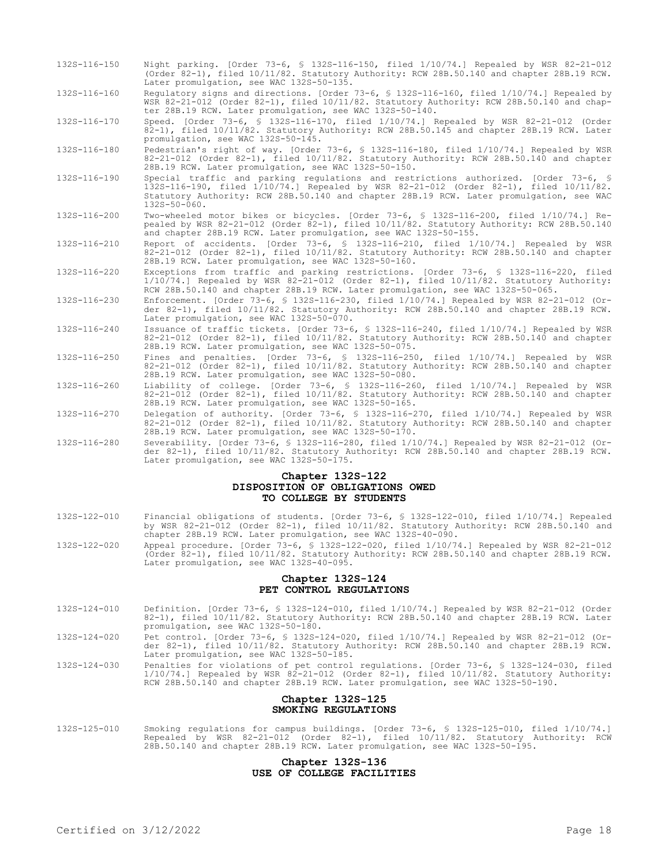132S-116-150 Night parking. [Order 73-6, § 132S-116-150, filed 1/10/74.] Repealed by WSR 82-21-012 (Order 82-1), filed 10/11/82. Statutory Authority: RCW 28B.50.140 and chapter 28B.19 RCW. Later promulgation, see WAC 132S-50-135.

132S-116-160 Regulatory signs and directions. [Order 73-6, § 132S-116-160, filed 1/10/74.] Repealed by WSR 82-21-012 (Order 82-1), filed 10/11/82. Statutory Authority: RCW 28B.50.140 and chapter 28B.19 RCW. Later promulgation, see WAC 132S-50-140.

132S-116-170 Speed. [Order 73-6, § 132S-116-170, filed 1/10/74.] Repealed by WSR 82-21-012 (Order 82-1), filed 10/11/82. Statutory Authority: RCW 28B.50.145 and chapter 28B.19 RCW. Later promulgation, see WAC 132S-50-145.

132S-116-180 Pedestrian's right of way. [Order 73-6, § 132S-116-180, filed 1/10/74.] Repealed by WSR 82-21-012 (Order 82-1), filed 10/11/82. Statutory Authority: RCW 28B.50.140 and chapter 28B.19 RCW. Later promulgation, see WAC 132S-50-150.

- 132S-116-190 Special traffic and parking regulations and restrictions authorized. [Order 73-6, § 132S-116-190, filed 1/10/74.] Repealed by WSR 82-21-012 (Order 82-1), filed 10/11/82. Statutory Authority: RCW 28B.50.140 and chapter 28B.19 RCW. Later promulgation, see WAC  $132S-50-060$ .
- 132S-116-200 Two-wheeled motor bikes or bicycles. [Order 73-6, § 132S-116-200, filed 1/10/74.] Repealed by WSR 82-21-012 (Order 82-1), filed 10/11/82. Statutory Authority: RCW 28B.50.140 and chapter 28B.19 RCW. Later promulgation, see WAC 132S-50-155.

132S-116-210 Report of accidents. [Order 73-6, § 132S-116-210, filed 1/10/74.] Repealed by WSR 82-21-012 (Order 82-1), filed 10/11/82. Statutory Authority: RCW 28B.50.140 and chapter 28B.19 RCW. Later promulgation, see WAC 132S-50-160.

132S-116-220 Exceptions from traffic and parking restrictions. [Order 73-6, § 132S-116-220, filed 1/10/74.] Repealed by WSR 82-21-012 (Order 82-1), filed 10/11/82. Statutory Authority: RCW 28B.50.140 and chapter 28B.19 RCW. Later promulgation, see WAC 132S-50-065.

132S-116-230 Enforcement. [Order 73-6, § 132S-116-230, filed 1/10/74.] Repealed by WSR 82-21-012 (Order 82-1), filed 10/11/82. Statutory Authority: RCW 28B.50.140 and chapter 28B.19 RCW. Later promulgation, see WAC 132S-50-070.

132S-116-240 Issuance of traffic tickets. [Order 73-6, § 132S-116-240, filed 1/10/74.] Repealed by WSR 82-21-012 (Order 82-1), filed 10/11/82. Statutory Authority: RCW 28B.50.140 and chapter 28B.19 RCW. Later promulgation, see WAC 132S-50-075.

132S-116-250 Fines and penalties. [Order 73-6, § 132S-116-250, filed 1/10/74.] Repealed by WSR 82-21-012 (Order 82-1), filed 10/11/82. Statutory Authority: RCW 28B.50.140 and chapter 28B.19 RCW. Later promulgation, see WAC 132S-50-080.

132S-116-260 Liability of college. [Order 73-6, § 132S-116-260, filed 1/10/74.] Repealed by WSR 82-21-012 (Order 82-1), filed 10/11/82. Statutory Authority: RCW 28B.50.140 and chapter 28B.19 RCW. Later promulgation, see WAC 132S-50-165.

132S-116-270 Delegation of authority. [Order 73-6, § 132S-116-270, filed 1/10/74.] Repealed by WSR 82-21-012 (Order 82-1), filed 10/11/82. Statutory Authority: RCW 28B.50.140 and chapter 28B.19 RCW. Later promulgation, see WAC 132S-50-170.

132S-116-280 Severability. [Order 73-6, § 132S-116-280, filed 1/10/74.] Repealed by WSR 82-21-012 (Order 82-1), filed 10/11/82. Statutory Authority: RCW 28B.50.140 and chapter 28B.19 RCW. Later promulgation, see WAC 132S-50-175.

#### **Chapter 132S-122 DISPOSITION OF OBLIGATIONS OWED TO COLLEGE BY STUDENTS**

- 132S-122-010 Financial obligations of students. [Order 73-6, § 132S-122-010, filed 1/10/74.] Repealed by WSR 82-21-012 (Order 82-1), filed 10/11/82. Statutory Authority: RCW 28B.50.140 and chapter 28B.19 RCW. Later promulgation, see WAC 132S-40-090.
- 132S-122-020 Appeal procedure. [Order 73-6, § 132S-122-020, filed 1/10/74.] Repealed by WSR 82-21-012 (Order 82-1), filed 10/11/82. Statutory Authority: RCW 28B.50.140 and chapter 28B.19 RCW. Later promulgation, see WAC 132S-40-095.

### **Chapter 132S-124 PET CONTROL REGULATIONS**

- 132S-124-010 Definition. [Order 73-6, § 132S-124-010, filed 1/10/74.] Repealed by WSR 82-21-012 (Order 82-1), filed 10/11/82. Statutory Authority: RCW 28B.50.140 and chapter 28B.19 RCW. Later promulgation, see WAC 132S-50-180.
- 132S-124-020 Pet control. [Order 73-6, § 132S-124-020, filed 1/10/74.] Repealed by WSR 82-21-012 (Order 82-1), filed 10/11/82. Statutory Authority: RCW 28B.50.140 and chapter 28B.19 RCW. Later promulgation, see WAC 132S-50-185.

132S-124-030 Penalties for violations of pet control regulations. [Order 73-6, § 132S-124-030, filed 1/10/74.] Repealed by WSR 82-21-012 (Order 82-1), filed 10/11/82. Statutory Authority: RCW 28B.50.140 and chapter 28B.19 RCW. Later promulgation, see WAC 132S-50-190.

### **Chapter 132S-125 SMOKING REGULATIONS**

132S-125-010 Smoking regulations for campus buildings. [Order 73-6, § 132S-125-010, filed 1/10/74.] Repealed by WSR 82-21-012 (Order 82-1), filed 10/11/82. Statutory Authority: RCW 28B.50.140 and chapter 28B.19 RCW. Later promulgation, see WAC 132S-50-195.

### **Chapter 132S-136 USE OF COLLEGE FACILITIES**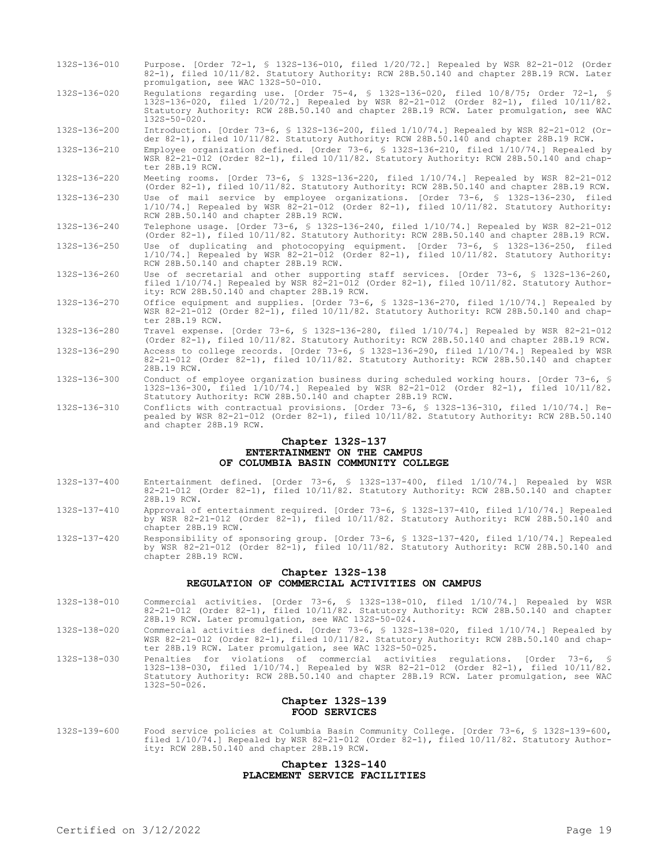- 132S-136-010 Purpose. [Order 72-1, § 132S-136-010, filed 1/20/72.] Repealed by WSR 82-21-012 (Order 82-1), filed 10/11/82. Statutory Authority: RCW 28B.50.140 and chapter 28B.19 RCW. Later promulgation, see WAC 132S-50-010.
- 132S-136-020 Regulations regarding use. [Order 75-4, § 132S-136-020, filed 10/8/75; Order 72-1, § 132S-136-020, filed 1/20/72.] Repealed by WSR 82-21-012 (Order 82-1), filed 10/11/82. Statutory Authority: RCW 28B.50.140 and chapter 28B.19 RCW. Later promulgation, see WAC 132S-50-020.

132S-136-200 Introduction. [Order 73-6, § 132S-136-200, filed 1/10/74.] Repealed by WSR 82-21-012 (Order 82-1), filed 10/11/82. Statutory Authority: RCW 28B.50.140 and chapter 28B.19 RCW.

132S-136-210 Employee organization defined. [Order 73-6, § 132S-136-210, filed 1/10/74.] Repealed by WSR 82-21-012 (Order 82-1), filed 10/11/82. Statutory Authority: RCW 28B.50.140 and chapter 28B.19 RCW.

132S-136-220 Meeting rooms. [Order 73-6, § 132S-136-220, filed 1/10/74.] Repealed by WSR 82-21-012 (Order 82-1), filed 10/11/82. Statutory Authority: RCW 28B.50.140 and chapter 28B.19 RCW. 132S-136-230 Use of mail service by employee organizations. [Order 73-6, § 132S-136-230, filed 1/10/74.] Repealed by WSR 82-21-012 (Order 82-1), filed 10/11/82. Statutory Authority: RCW 28B.50.140 and chapter 28B.19 RCW.

132S-136-240 Telephone usage. [Order 73-6, § 132S-136-240, filed 1/10/74.] Repealed by WSR 82-21-012 (Order 82-1), filed 10/11/82. Statutory Authority: RCW 28B.50.140 and chapter 28B.19 RCW.

- 132S-136-250 Use of duplicating and photocopying equipment. [Order 73-6, § 132S-136-250, filed 1/10/74.] Repealed by WSR 82-21-012 (Order 82-1), filed 10/11/82. Statutory Authority: RCW 28B.50.140 and chapter 28B.19 RCW.
- 132S-136-260 Use of secretarial and other supporting staff services. [Order 73-6, § 132S-136-260, filed 1/10/74.] Repealed by WSR 82-21-012 (Order 82-1), filed 10/11/82. Statutory Authority: RCW 28B.50.140 and chapter 28B.19 RCW.
- 132S-136-270 Office equipment and supplies. [Order 73-6, § 132S-136-270, filed 1/10/74.] Repealed by WSR 82-21-012 (Order 82-1), filed 10/11/82. Statutory Authority: RCW 28B.50.140 and chapter 28B.19 RCW.
- 132S-136-280 Travel expense. [Order 73-6, § 132S-136-280, filed 1/10/74.] Repealed by WSR 82-21-012 (Order 82-1), filed 10/11/82. Statutory Authority: RCW 28B.50.140 and chapter 28B.19 RCW.
- 132S-136-290 Access to college records. [Order 73-6, § 132S-136-290, filed 1/10/74.] Repealed by WSR 82-21-012 (Order 82-1), filed 10/11/82. Statutory Authority: RCW 28B.50.140 and chapter 28B.19 RCW.
- 132S-136-300 Conduct of employee organization business during scheduled working hours. [Order 73-6, § 132S-136-300, filed 1/10/74.] Repealed by WSR 82-21-012 (Order 82-1), filed 10/11/82. Statutory Authority: RCW 28B.50.140 and chapter 28B.19 RCW.
- 132S-136-310 Conflicts with contractual provisions. [Order 73-6, § 132S-136-310, filed 1/10/74.] Repealed by WSR 82-21-012 (Order 82-1), filed 10/11/82. Statutory Authority: RCW 28B.50.140 and chapter 28B.19 RCW.

#### **Chapter 132S-137 ENTERTAINMENT ON THE CAMPUS OF COLUMBIA BASIN COMMUNITY COLLEGE**

- 132S-137-400 Entertainment defined. [Order 73-6, § 132S-137-400, filed 1/10/74.] Repealed by WSR 82-21-012 (Order 82-1), filed 10/11/82. Statutory Authority: RCW 28B.50.140 and chapter 28B.19 RCW.
- 132S-137-410 Approval of entertainment required. [Order 73-6, § 132S-137-410, filed 1/10/74.] Repealed by WSR 82-21-012 (Order 82-1), filed 10/11/82. Statutory Authority: RCW 28B.50.140 and chapter 28B.19 RCW.
- 132S-137-420 Responsibility of sponsoring group. [Order 73-6, § 132S-137-420, filed 1/10/74.] Repealed by WSR 82-21-012 (Order 82-1), filed 10/11/82. Statutory Authority: RCW 28B.50.140 and chapter 28B.19 RCW.

#### **Chapter 132S-138 REGULATION OF COMMERCIAL ACTIVITIES ON CAMPUS**

- 132S-138-010 Commercial activities. [Order 73-6, § 132S-138-010, filed 1/10/74.] Repealed by WSR 82-21-012 (Order 82-1), filed 10/11/82. Statutory Authority: RCW 28B.50.140 and chapter 28B.19 RCW. Later promulgation, see WAC 132S-50-024.
- 132S-138-020 Commercial activities defined. [Order 73-6, § 132S-138-020, filed 1/10/74.] Repealed by WSR 82-21-012 (Order 82-1), filed 10/11/82. Statutory Authority: RCW 28B.50.140 and chapter 28B.19 RCW. Later promulgation, see WAC 132S-50-025.
- 132S-138-030 Penalties for violations of commercial activities regulations. [Order 73-6, § 132S-138-030, filed 1/10/74.] Repealed by WSR 82-21-012 (Order 82-1), filed 10/11/82. Statutory Authority: RCW 28B.50.140 and chapter 28B.19 RCW. Later promulgation, see WAC 132S-50-026.

## **Chapter 132S-139 FOOD SERVICES**

132S-139-600 Food service policies at Columbia Basin Community College. [Order 73-6, § 132S-139-600, filed 1/10/74.] Repealed by WSR 82-21-012 (Order 82-1), filed 10/11/82. Statutory Authority: RCW 28B.50.140 and chapter 28B.19 RCW.

# **Chapter 132S-140 PLACEMENT SERVICE FACILITIES**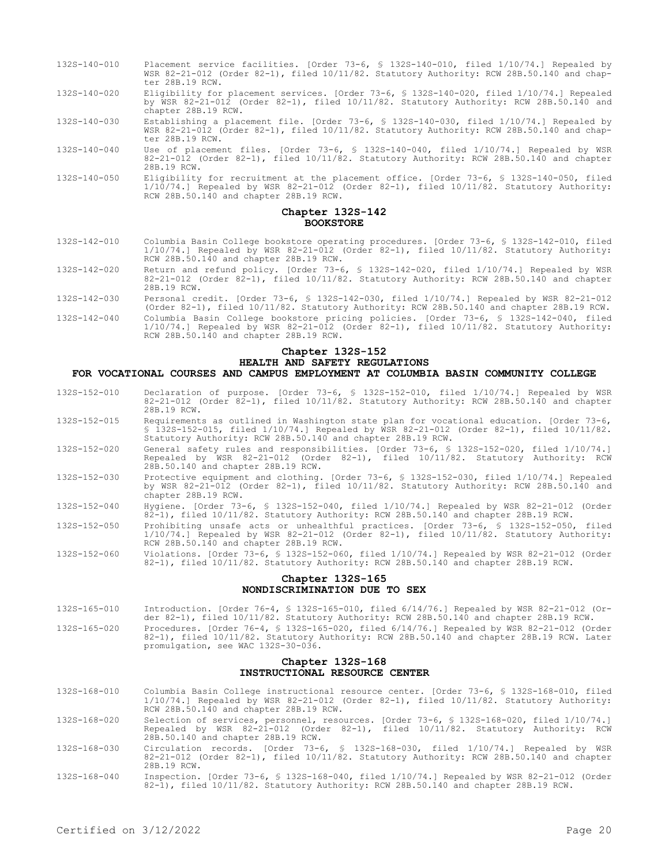- 132S-140-010 Placement service facilities. [Order 73-6, § 132S-140-010, filed 1/10/74.] Repealed by WSR 82-21-012 (Order 82-1), filed 10/11/82. Statutory Authority: RCW 28B.50.140 and chapter 28B.19 RCW.
- 132S-140-020 Eligibility for placement services. [Order 73-6, § 132S-140-020, filed 1/10/74.] Repealed by WSR 82-21-012 (Order 82-1), filed 10/11/82. Statutory Authority: RCW 28B.50.140 and chapter 28B.19 RCW.
- 132S-140-030 Establishing a placement file. [Order 73-6, § 132S-140-030, filed 1/10/74.] Repealed by WSR 82-21-012 (Order 82-1), filed 10/11/82. Statutory Authority: RCW 28B.50.140 and chapter 28B.19 RCW.
- 132S-140-040 Use of placement files. [Order 73-6, § 132S-140-040, filed 1/10/74.] Repealed by WSR 82-21-012 (Order 82-1), filed 10/11/82. Statutory Authority: RCW 28B.50.140 and chapter 28B.19 RCW.
- 132S-140-050 Eligibility for recruitment at the placement office. [Order 73-6, § 132S-140-050, filed 1/10/74.] Repealed by WSR 82-21-012 (Order 82-1), filed 10/11/82. Statutory Authority: RCW 28B.50.140 and chapter 28B.19 RCW.

#### **Chapter 132S-142 BOOKSTORE**

- 132S-142-010 Columbia Basin College bookstore operating procedures. [Order 73-6, § 132S-142-010, filed 1/10/74.] Repealed by WSR 82-21-012 (Order 82-1), filed 10/11/82. Statutory Authority: RCW 28B.50.140 and chapter 28B.19 RCW.
- 132S-142-020 Return and refund policy. [Order 73-6, § 132S-142-020, filed 1/10/74.] Repealed by WSR 82-21-012 (Order 82-1), filed 10/11/82. Statutory Authority: RCW 28B.50.140 and chapter 28B.19 RCW.
- 132S-142-030 Personal credit. [Order 73-6, § 132S-142-030, filed 1/10/74.] Repealed by WSR 82-21-012 (Order 82-1), filed 10/11/82. Statutory Authority: RCW 28B.50.140 and chapter 28B.19 RCW.
- 132S-142-040 Columbia Basin College bookstore pricing policies. [Order 73-6, § 132S-142-040, filed 1/10/74.] Repealed by WSR 82-21-012 (Order 82-1), filed 10/11/82. Statutory Authority: RCW 28B.50.140 and chapter 28B.19 RCW.

#### **Chapter 132S-152 HEALTH AND SAFETY REGULATIONS FOR VOCATIONAL COURSES AND CAMPUS EMPLOYMENT AT COLUMBIA BASIN COMMUNITY COLLEGE**

- 132S-152-010 Declaration of purpose. [Order 73-6, § 132S-152-010, filed 1/10/74.] Repealed by WSR 82-21-012 (Order 82-1), filed 10/11/82. Statutory Authority: RCW 28B.50.140 and chapter 28B.19 RCW.
- 132S-152-015 Requirements as outlined in Washington state plan for vocational education. [Order 73-6, § 132S-152-015, filed 1/10/74.] Repealed by WSR 82-21-012 (Order 82-1), filed 10/11/82. Statutory Authority: RCW 28B.50.140 and chapter 28B.19 RCW.
- 132S-152-020 General safety rules and responsibilities. [Order 73-6, § 132S-152-020, filed 1/10/74.] Repealed by WSR 82-21-012 (Order 82-1), filed 10/11/82. Statutory Authority: RCW 28B.50.140 and chapter 28B.19 RCW.
- 132S-152-030 Protective equipment and clothing. [Order 73-6, § 132S-152-030, filed 1/10/74.] Repealed by WSR 82-21-012 (Order 82-1), filed 10/11/82. Statutory Authority: RCW 28B.50.140 and chapter 28B.19 RCW.
- 132S-152-040 Hygiene. [Order 73-6, § 132S-152-040, filed 1/10/74.] Repealed by WSR 82-21-012 (Order 82-1), filed 10/11/82. Statutory Authority: RCW 28B.50.140 and chapter 28B.19 RCW.
- 132S-152-050 Prohibiting unsafe acts or unhealthful practices. [Order 73-6, § 132S-152-050, filed 1/10/74.] Repealed by WSR 82-21-012 (Order 82-1), filed 10/11/82. Statutory Authority: RCW 28B.50.140 and chapter 28B.19 RCW.
- 132S-152-060 Violations. [Order 73-6, § 132S-152-060, filed 1/10/74.] Repealed by WSR 82-21-012 (Order 82-1), filed 10/11/82. Statutory Authority: RCW 28B.50.140 and chapter 28B.19 RCW.

#### **Chapter 132S-165 NONDISCRIMINATION DUE TO SEX**

- 132S-165-010 Introduction. [Order 76-4, § 132S-165-010, filed 6/14/76.] Repealed by WSR 82-21-012 (Order 82-1), filed 10/11/82. Statutory Authority: RCW 28B.50.140 and chapter 28B.19 RCW.
- 132S-165-020 Procedures. [Order 76-4, § 132S-165-020, filed 6/14/76.] Repealed by WSR 82-21-012 (Order 82-1), filed 10/11/82. Statutory Authority: RCW 28B.50.140 and chapter 28B.19 RCW. Later promulgation, see WAC 132S-30-036.

#### **Chapter 132S-168 INSTRUCTIONAL RESOURCE CENTER**

- 132S-168-010 Columbia Basin College instructional resource center. [Order 73-6, § 132S-168-010, filed 1/10/74.] Repealed by WSR 82-21-012 (Order 82-1), filed 10/11/82. Statutory Authority: RCW 28B.50.140 and chapter 28B.19 RCW.
- 132S-168-020 Selection of services, personnel, resources. [Order 73-6, § 132S-168-020, filed 1/10/74.] Repealed by WSR 82-21-012 (Order 82-1), filed 10/11/82. Statutory Authority: RCW 28B.50.140 and chapter 28B.19 RCW.
- 132S-168-030 Circulation records. [Order 73-6, § 132S-168-030, filed 1/10/74.] Repealed by WSR 82-21-012 (Order 82-1), filed 10/11/82. Statutory Authority: RCW 28B.50.140 and chapter 28B.19 RCW.
- 132S-168-040 Inspection. [Order 73-6, § 132S-168-040, filed 1/10/74.] Repealed by WSR 82-21-012 (Order 82-1), filed 10/11/82. Statutory Authority: RCW 28B.50.140 and chapter 28B.19 RCW.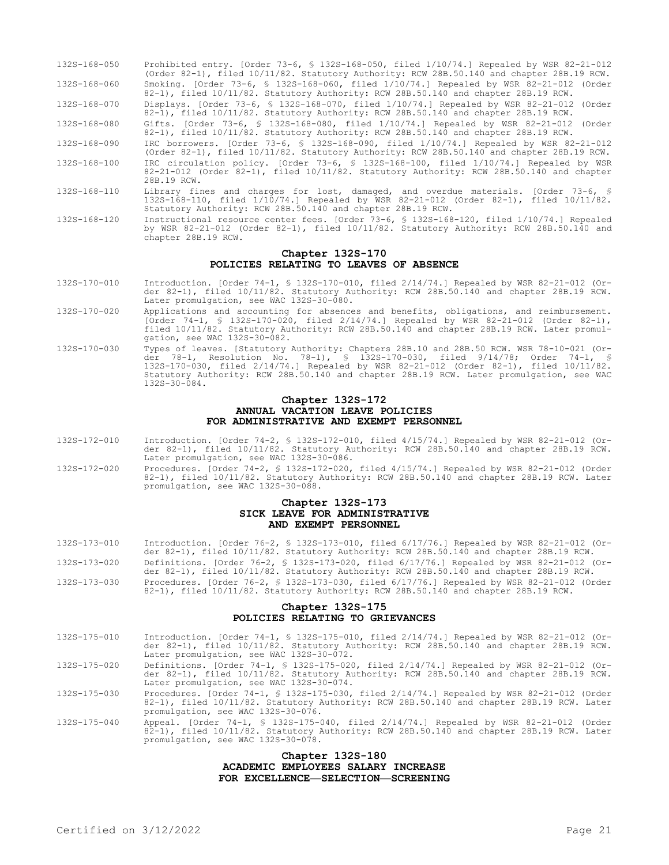| 132S-168-050 | Prohibited entry. [Order 73-6, § 132S-168-050, filed 1/10/74.] Repealed by WSR 82-21-012<br>(Order 82-1), filed 10/11/82. Statutory Authority: RCW 28B.50.140 and chapter 28B.19 RCW.                                                      |
|--------------|--------------------------------------------------------------------------------------------------------------------------------------------------------------------------------------------------------------------------------------------|
| 132S-168-060 | Smoking. [Order 73-6, § 1325-168-060, filed 1/10/74.] Repealed by WSR 82-21-012 (Order<br>82-1), filed 10/11/82. Statutory Authority: RCW 28B.50.140 and chapter 28B.19 RCW.                                                               |
| 132S-168-070 | Displays. [Order 73-6, § 132S-168-070, filed 1/10/74.] Repealed by WSR 82-21-012 (Order<br>82-1), filed 10/11/82. Statutory Authority: RCW 28B.50.140 and chapter 28B.19 RCW.                                                              |
| 132S-168-080 | Gifts. [Order 73-6, § 132S-168-080, filed 1/10/74.] Repealed by WSR 82-21-012 (Order<br>82-1), filed 10/11/82. Statutory Authority: RCW 28B.50.140 and chapter 28B.19 RCW.                                                                 |
| 132S-168-090 | IRC borrowers. [Order 73-6, § 132S-168-090, filed 1/10/74.] Repealed by WSR 82-21-012<br>(Order 82-1), filed 10/11/82. Statutory Authority: RCW 28B.50.140 and chapter 28B.19 RCW.                                                         |
| 132S-168-100 | IRC circulation policy. [Order 73-6, § 132S-168-100, filed 1/10/74.] Repealed by WSR<br>82-21-012 (Order 82-1), filed 10/11/82. Statutory Authority: RCW 28B.50.140 and chapter<br>28B.19 RCW.                                             |
| 132S-168-110 | Library fines and charges for lost, damaged, and overdue materials. [Order 73-6, §<br>132S-168-110, filed 1/10/74.1 Repealed by WSR 82-21-012 (Order 82-1), filed 10/11/82.<br>Statutory Authority: RCW 28B.50.140 and chapter 28B.19 RCW. |
| 132S-168-120 | Instructional resource center fees. [Order 73-6, § 132S-168-120, filed 1/10/74.] Repealed<br>by WSR 82-21-012 (Order 82-1), filed 10/11/82. Statutory Authority: RCW 28B.50.140 and                                                        |

# **Chapter 132S-170 POLICIES RELATING TO LEAVES OF ABSENCE**

chapter 28B.19 RCW.

- 132S-170-010 Introduction. [Order 74-1, § 132S-170-010, filed 2/14/74.] Repealed by WSR 82-21-012 (Order 82-1), filed 10/11/82. Statutory Authority: RCW 28B.50.140 and chapter 28B.19 RCW. Later promulgation, see WAC 132S-30-080.
- 132S-170-020 Applications and accounting for absences and benefits, obligations, and reimbursement. [Order 74-1, § 132S-170-020, filed 2/14/74.] Repealed by WSR 82-21-012 (Order 82-1), filed 10/11/82. Statutory Authority: RCW 28B.50.140 and chapter 28B.19 RCW. Later promulgation, see WAC 132S-30-082.
- 132S-170-030 Types of leaves. [Statutory Authority: Chapters 28B.10 and 28B.50 RCW. WSR 78-10-021 (Order 78-1, Resolution No. 78-1), § 132S-170-030, filed 9/14/78; Order 74-1, § 132S-170-030, filed 2/14/74.] Repealed by WSR 82-21-012 (Order 82-1), filed 10/11/82. Statutory Authority: RCW 28B.50.140 and chapter 28B.19 RCW. Later promulgation, see WAC 132S-30-084.

#### **Chapter 132S-172 ANNUAL VACATION LEAVE POLICIES FOR ADMINISTRATIVE AND EXEMPT PERSONNEL**

- 132S-172-010 Introduction. [Order 74-2, § 132S-172-010, filed 4/15/74.] Repealed by WSR 82-21-012 (Order 82-1), filed 10/11/82. Statutory Authority: RCW 28B.50.140 and chapter 28B.19 RCW. Later promulgation, see WAC 132S-30-086.
- 132S-172-020 Procedures. [Order 74-2, § 132S-172-020, filed 4/15/74.] Repealed by WSR 82-21-012 (Order 82-1), filed 10/11/82. Statutory Authority: RCW 28B.50.140 and chapter 28B.19 RCW. Later promulgation, see WAC 132S-30-088.

# **Chapter 132S-173 SICK LEAVE FOR ADMINISTRATIVE AND EXEMPT PERSONNEL**

| 132S-173-010       | Introduction. [Order 76-2, § 132S-173-010, filed 6/17/76.] Repealed by WSR 82-21-012 (Or-                                                                                          |
|--------------------|------------------------------------------------------------------------------------------------------------------------------------------------------------------------------------|
|                    | der 82-1), filed 10/11/82. Statutory Authority: RCW 28B.50.140 and chapter 28B.19 RCW.                                                                                             |
| 132S-173-020       | Definitions. [Order 76-2, § 132S-173-020, filed 6/17/76.] Repealed by WSR 82-21-012 (Or-<br>der 82-1), filed 10/11/82. Statutory Authority: RCW 28B.50.140 and chapter 28B.19 RCW. |
| $132S - 173 - 030$ | Procedures. [Order 76-2, § 132S-173-030, filed 6/17/76.] Repealed by WSR 82-21-012 (Order<br>82-1), filed $10/11/82$ . Statutory Authority: RCW 28B.50.140 and chapter 28B.19 RCW. |

### **Chapter 132S-175 POLICIES RELATING TO GRIEVANCES**

- 132S-175-010 Introduction. [Order 74-1, § 132S-175-010, filed 2/14/74.] Repealed by WSR 82-21-012 (Order 82-1), filed 10/11/82. Statutory Authority: RCW 28B.50.140 and chapter 28B.19 RCW. Later promulgation, see WAC 132S-30-072.
- 132S-175-020 Definitions. [Order 74-1, § 132S-175-020, filed 2/14/74.] Repealed by WSR 82-21-012 (Order 82-1), filed 10/11/82. Statutory Authority: RCW 28B.50.140 and chapter 28B.19 RCW. Later promulgation, see WAC 132S-30-074.
- 132S-175-030 Procedures. [Order 74-1, § 132S-175-030, filed 2/14/74.] Repealed by WSR 82-21-012 (Order 82-1), filed 10/11/82. Statutory Authority: RCW 28B.50.140 and chapter 28B.19 RCW. Later promulgation, see WAC 132S-30-076.
- 132S-175-040 Appeal. [Order 74-1, § 132S-175-040, filed 2/14/74.] Repealed by WSR 82-21-012 (Order 82-1), filed 10/11/82. Statutory Authority: RCW 28B.50.140 and chapter 28B.19 RCW. Later promulgation, see WAC 132S-30-078.

## **Chapter 132S-180 ACADEMIC EMPLOYEES SALARY INCREASE FOR EXCELLENCE—SELECTION—SCREENING**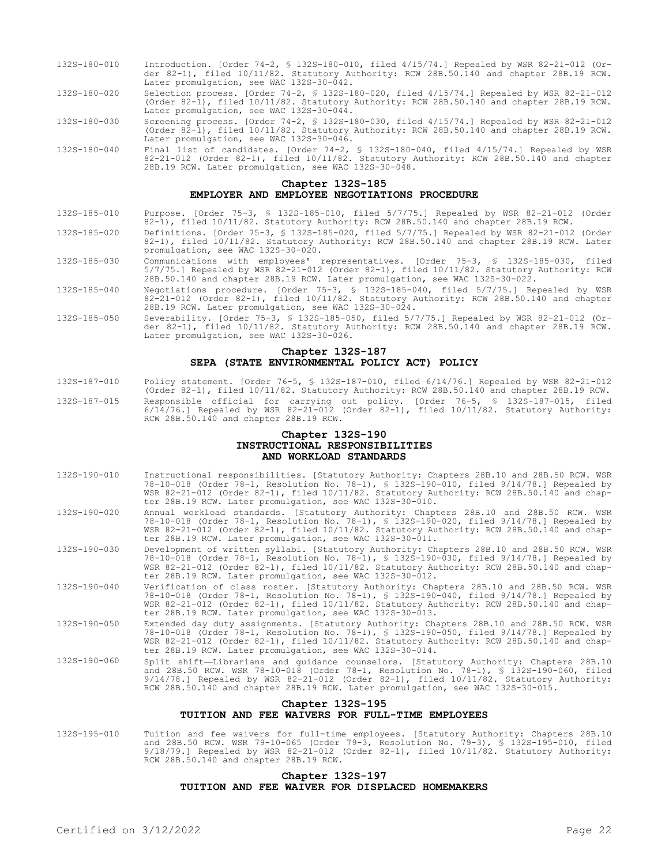- 132S-180-010 Introduction. [Order 74-2, § 132S-180-010, filed 4/15/74.] Repealed by WSR 82-21-012 (Order 82-1), filed 10/11/82. Statutory Authority: RCW 28B.50.140 and chapter 28B.19 RCW. Later promulgation, see WAC 132S-30-042.
- 132S-180-020 Selection process. [Order 74-2, § 132S-180-020, filed 4/15/74.] Repealed by WSR 82-21-012 (Order 82-1), filed 10/11/82. Statutory Authority: RCW 28B.50.140 and chapter 28B.19 RCW. Later promulgation, see WAC 132S-30-044.
- 132S-180-030 Screening process. [Order 74-2, § 132S-180-030, filed 4/15/74.] Repealed by WSR 82-21-012 (Order 82-1), filed 10/11/82. Statutory Authority: RCW 28B.50.140 and chapter 28B.19 RCW. Later promulgation, see WAC 132S-30-046.
- 132S-180-040 Final list of candidates. [Order 74-2, § 132S-180-040, filed 4/15/74.] Repealed by WSR 82-21-012 (Order 82-1), filed 10/11/82. Statutory Authority: RCW 28B.50.140 and chapter 28B.19 RCW. Later promulgation, see WAC 132S-30-048.

#### **Chapter 132S-185 EMPLOYER AND EMPLOYEE NEGOTIATIONS PROCEDURE**

- 132S-185-010 Purpose. [Order 75-3, § 132S-185-010, filed 5/7/75.] Repealed by WSR 82-21-012 (Order 82-1), filed 10/11/82. Statutory Authority: RCW 28B.50.140 and chapter 28B.19 RCW.
- 132S-185-020 Definitions. [Order 75-3, § 132S-185-020, filed 5/7/75.] Repealed by WSR 82-21-012 (Order 82-1), filed 10/11/82. Statutory Authority: RCW 28B.50.140 and chapter 28B.19 RCW. Later promulgation, see WAC 132S-30-020.
- 132S-185-030 Communications with employees' representatives. [Order 75-3, § 132S-185-030, filed 5/7/75.] Repealed by WSR 82-21-012 (Order 82-1), filed 10/11/82. Statutory Authority: RCW 28B.50.140 and chapter 28B.19 RCW. Later promulgation, see WAC 132S-30-022.
- 132S-185-040 Negotiations procedure. [Order 75-3, § 132S-185-040, filed 5/7/75.] Repealed by WSR 82-21-012 (Order 82-1), filed 10/11/82. Statutory Authority: RCW 28B.50.140 and chapter 28B.19 RCW. Later promulgation, see WAC 132S-30-024.
- 132S-185-050 Severability. [Order 75-3, § 132S-185-050, filed 5/7/75.] Repealed by WSR 82-21-012 (Order 82-1), filed 10/11/82. Statutory Authority: RCW 28B.50.140 and chapter 28B.19 RCW. Later promulgation, see WAC 132S-30-026.

#### **Chapter 132S-187 SEPA (STATE ENVIRONMENTAL POLICY ACT) POLICY**

132S-187-010 Policy statement. [Order 76-5, § 132S-187-010, filed 6/14/76.] Repealed by WSR 82-21-012 (Order 82-1), filed 10/11/82. Statutory Authority: RCW 28B.50.140 and chapter 28B.19 RCW. 132S-187-015 Responsible official for carrying out policy. [Order 76-5, § 132S-187-015, filed 6/14/76.] Repealed by WSR 82-21-012 (Order 82-1), filed 10/11/82. Statutory Authority: RCW 28B.50.140 and chapter 28B.19 RCW.

## **Chapter 132S-190 INSTRUCTIONAL RESPONSIBILITIES AND WORKLOAD STANDARDS**

- 132S-190-010 Instructional responsibilities. [Statutory Authority: Chapters 28B.10 and 28B.50 RCW. WSR 78-10-018 (Order 78-1, Resolution No. 78-1), § 132S-190-010, filed 9/14/78.] Repealed by WSR 82-21-012 (Order 82-1), filed 10/11/82. Statutory Authority: RCW 28B.50.140 and chapter 28B.19 RCW. Later promulgation, see WAC 132S-30-010.
- 132S-190-020 Annual workload standards. [Statutory Authority: Chapters 28B.10 and 28B.50 RCW. WSR 78-10-018 (Order 78-1, Resolution No. 78-1), § 132S-190-020, filed 9/14/78.] Repealed by WSR 82-21-012 (Order 82-1), filed 10/11/82. Statutory Authority: RCW 28B.50.140 and chapter 28B.19 RCW. Later promulgation, see WAC 132S-30-011.
- 132S-190-030 Development of written syllabi. [Statutory Authority: Chapters 28B.10 and 28B.50 RCW. WSR 78-10-018 (Order 78-1, Resolution No. 78-1), § 132S-190-030, filed 9/14/78.] Repealed by WSR 82-21-012 (Order 82-1), filed 10/11/82. Statutory Authority: RCW 28B.50.140 and chapter 28B.19 RCW. Later promulgation, see WAC 132S-30-012.
- 132S-190-040 Verification of class roster. [Statutory Authority: Chapters 28B.10 and 28B.50 RCW. WSR 78-10-018 (Order 78-1, Resolution No. 78-1), § 132S-190-040, filed 9/14/78.] Repealed by WSR 82-21-012 (Order 82-1), filed 10/11/82. Statutory Authority: RCW 28B.50.140 and chapter 28B.19 RCW. Later promulgation, see WAC 132S-30-013.
- 132S-190-050 Extended day duty assignments. [Statutory Authority: Chapters 28B.10 and 28B.50 RCW. WSR 78-10-018 (Order 78-1, Resolution No. 78-1), § 132S-190-050, filed 9/14/78.] Repealed by WSR 82-21-012 (Order 82-1), filed 10/11/82. Statutory Authority: RCW 28B.50.140 and chapter 28B.19 RCW. Later promulgation, see WAC 132S-30-014.
- 132S-190-060 Split shift—Librarians and guidance counselors. [Statutory Authority: Chapters 28B.10 and 28B.50 RCW. WSR 78-10-018 (Order 78-1, Resolution No. 78-1), § 132S-190-060, filed 9/14/78.] Repealed by WSR 82-21-012 (Order 82-1), filed 10/11/82. Statutory Authority: RCW 28B.50.140 and chapter 28B.19 RCW. Later promulgation, see WAC 132S-30-015.

# **Chapter 132S-195 TUITION AND FEE WAIVERS FOR FULL-TIME EMPLOYEES**

132S-195-010 Tuition and fee waivers for full-time employees. [Statutory Authority: Chapters 28B.10 and 28B.50 RCW. WSR 79-10-065 (Order 79-3, Resolution No. 79-3), § 132S-195-010, filed 9/18/79.] Repealed by WSR 82-21-012 (Order 82-1), filed 10/11/82. Statutory Authority: RCW 28B.50.140 and chapter 28B.19 RCW.

# **Chapter 132S-197 TUITION AND FEE WAIVER FOR DISPLACED HOMEMAKERS**